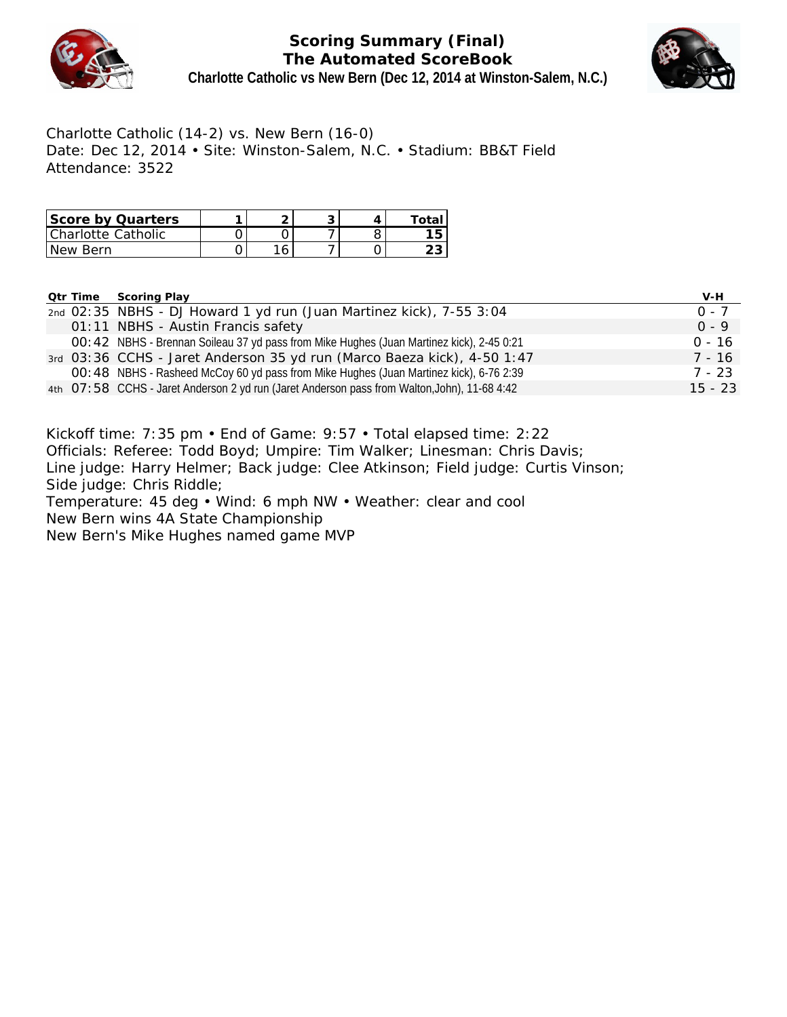

## **Scoring Summary (Final) The Automated ScoreBook Charlotte Catholic vs New Bern (Dec 12, 2014 at Winston-Salem, N.C.)**



Charlotte Catholic (14-2) vs. New Bern (16-0) Date: Dec 12, 2014 • Site: Winston-Salem, N.C. • Stadium: BB&T Field Attendance: 3522

| Score by Quarters  |   |  | ⊤ota∟ |
|--------------------|---|--|-------|
| Charlotte Catholic |   |  |       |
| 'New Bern          | ้ |  |       |

**Qtr Time Scoring Play V-H**

|  | 200111911                                                                                    |           |
|--|----------------------------------------------------------------------------------------------|-----------|
|  | 2nd 02:35 NBHS - DJ Howard 1 yd run (Juan Martinez kick), 7-55 3:04                          | $0 - 7$   |
|  | 01:11 NBHS - Austin Francis safety                                                           | $0 - 9$   |
|  | OO: 42 NBHS - Brennan Soileau 37 yd pass from Mike Hughes (Juan Martinez kick), 2-45 0:21    | $0 - 16$  |
|  | 3rd 03:36 CCHS - Jaret Anderson 35 yd run (Marco Baeza kick), 4-50 1:47                      | 7 - 16    |
|  | OO: 48 NBHS - Rasheed McCoy 60 yd pass from Mike Hughes (Juan Martinez kick), 6-76 2:39      | 7 - 23    |
|  | 4th 07:58 CCHS - Jaret Anderson 2 yd run (Jaret Anderson pass from Walton, John), 11-68 4:42 | $15 - 23$ |

Kickoff time: 7:35 pm • End of Game: 9:57 • Total elapsed time: 2:22 Officials: Referee: Todd Boyd; Umpire: Tim Walker; Linesman: Chris Davis; Line judge: Harry Helmer; Back judge: Clee Atkinson; Field judge: Curtis Vinson; Side judge: Chris Riddle; Temperature: 45 deg • Wind: 6 mph NW • Weather: clear and cool New Bern wins 4A State Championship New Bern's Mike Hughes named game MVP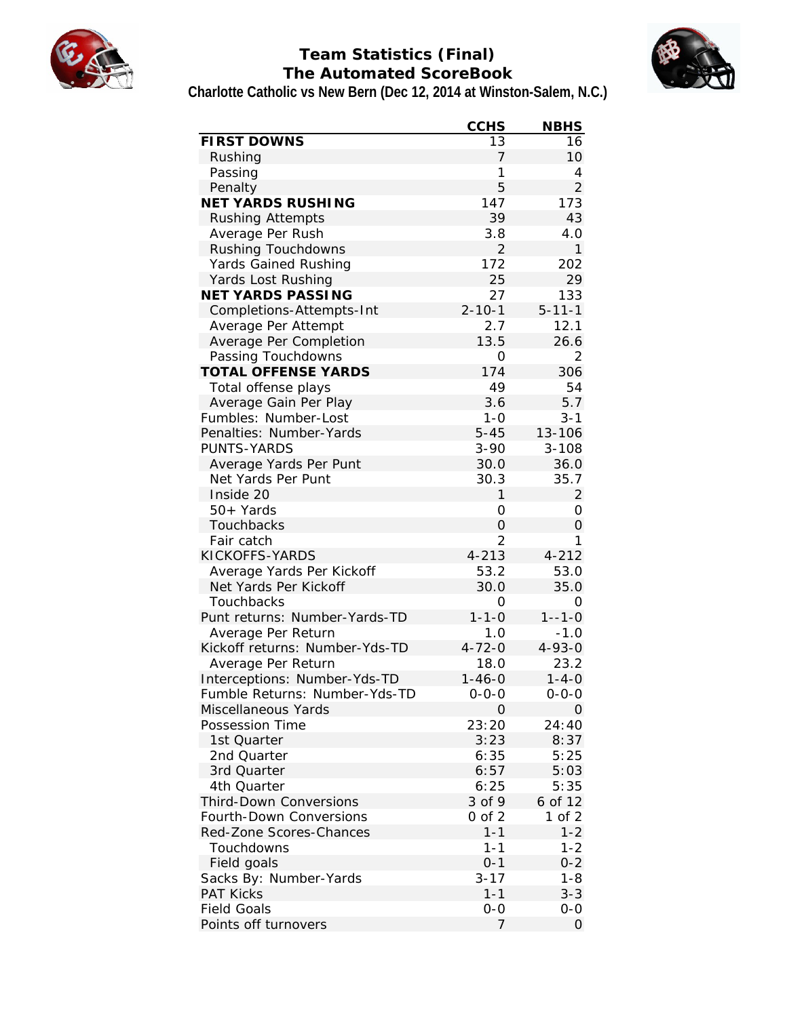

# **Team Statistics (Final) The Automated ScoreBook Charlotte Catholic vs New Bern (Dec 12, 2014 at Winston-Salem, N.C.)**



|                                        | <b>CCHS</b>    | <b>NBHS</b>    |
|----------------------------------------|----------------|----------------|
| FIRST DOWNS                            | 13             | 16             |
| Rushing                                | 7              | 10             |
| Passing                                | 1              | 4              |
| Penalty                                | 5              | $\overline{2}$ |
| NET YARDS RUSHING                      | 147            | 173            |
| <b>Rushing Attempts</b>                | 39             | 43             |
| Average Per Rush                       | 3.8            | 4.0            |
| Rushing Touchdowns                     | $\overline{2}$ | 1              |
| Yards Gained Rushing                   | 172            | 202            |
| Yards Lost Rushing                     | 25             | 29             |
| NET YARDS PASSING                      | 27             | 133            |
| Completions-Attempts-Int               | $2 - 10 - 1$   | $5 - 11 - 1$   |
| Average Per Attempt                    | 2.7            | 12.1           |
| Average Per Completion                 | 13.5           | 26.6           |
| Passing Touchdowns                     | 0              | 2              |
| <b>TOTAL OFFENSE YARDS</b>             | 174            | 306            |
| Total offense plays                    | 49             | 54             |
| Average Gain Per Play                  | 3.6            | 5.7            |
| Fumbles: Number-Lost                   | $1 - 0$        | $3 - 1$        |
| Penalties: Number-Yards                | $5 - 45$       | 13-106         |
| PUNTS-YARDS                            | $3 - 90$       | $3 - 108$      |
| Average Yards Per Punt                 | 30.0           | 36.0           |
| Net Yards Per Punt                     | 30.3           | 35.7           |
| Inside 20                              | 1              | $\overline{2}$ |
| 50+ Yards                              | 0              | 0              |
| Touchbacks                             | $\overline{O}$ | $\mathcal{O}$  |
| Fair catch                             | $\overline{2}$ | 1              |
| KICKOFFS-YARDS                         | $4 - 213$      | $4 - 212$      |
| Average Yards Per Kickoff              | 53.2           | 53.0           |
| Net Yards Per Kickoff                  | 30.0           | 35.0           |
| Touchbacks                             | 0              | Ο              |
| Punt returns: Number-Yards-TD          | $1 - 1 - 0$    | $1 - -1 - 0$   |
| Average Per Return                     | 1.0            | $-1.0$         |
| Kickoff returns: Number-Yds-TD         | $4 - 72 - 0$   | $4 - 93 - 0$   |
| Average Per Return                     | 18.0           | 23.2           |
| Interceptions: Number-Yds-TD           | $1 - 46 - 0$   | 1-4-0          |
| Fumble Returns: Number-Yds-TD          | $0 - 0 - 0$    |                |
|                                        |                | $0 - 0 - 0$    |
| Miscellaneous Yards<br>Possession Time | 0              | 0              |
|                                        | 23:20          | 24:40          |
| 1st Quarter                            | 3:23           | 8:37           |
| 2nd Quarter                            | 6:35           | 5:25           |
| 3rd Quarter                            | 6:57           | 5:03           |
| 4th Quarter                            | 6:25           | 5:35           |
| <b>Third-Down Conversions</b>          | 3 of 9         | 6 of 12        |
| Fourth-Down Conversions                | $0$ of $2$     | 1 of 2         |
| Red-Zone Scores-Chances                | $1 - 1$        | $1 - 2$        |
| Touchdowns                             | $1 - 1$        | $1 - 2$        |
| Field goals                            | $0 - 1$        | $0 - 2$        |
| Sacks By: Number-Yards                 | $3 - 17$       | 1-8            |
| <b>PAT Kicks</b>                       | $1 - 1$        | $3 - 3$        |
| <b>Field Goals</b>                     | $O-O$          | $O-O$          |
| Points off turnovers                   | 7              | 0              |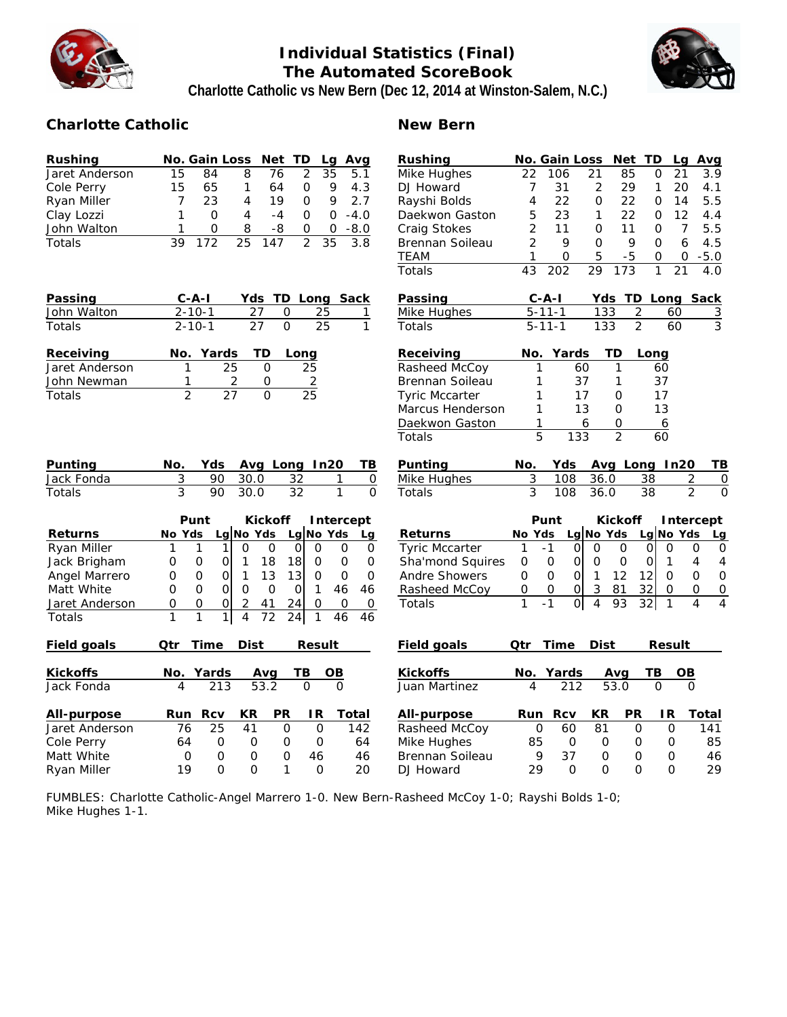

# **Individual Statistics (Final) The Automated ScoreBook Charlotte Catholic vs New Bern (Dec 12, 2014 at Winston-Salem, N.C.)**



### **Charlotte Catholic New Bern**

| Rushing        | No. Gain Loss<br>Net TD<br>Avg<br>Lg                                                                   | Rushing               |                 | No. Gain Loss                 |                      | Net TD                     |                                 | Lg<br>Avg                        |
|----------------|--------------------------------------------------------------------------------------------------------|-----------------------|-----------------|-------------------------------|----------------------|----------------------------|---------------------------------|----------------------------------|
| Jaret Anderson | 15<br>84<br>8<br>76<br>2<br>35<br>5.1                                                                  | Mike Hughes           | 22              | 106                           | 21                   | 85                         | 21<br>0                         | 3.9                              |
| Cole Perry     | 15<br>65<br>$\mathbf{1}$<br>9<br>64<br>0<br>4.3                                                        | DJ Howard             | 7               | 31                            | $\overline{2}$       | 29                         | $\mathbf{1}$                    | 20<br>4.1                        |
| Ryan Miller    | 7<br>23<br>2.7<br>$\overline{4}$<br>19<br>0<br>9                                                       | Rayshi Bolds          | 4               | 22                            | 0                    | 22                         | 0                               | 14<br>5.5                        |
| Clay Lozzi     | $-4.0$<br>1<br>$\Omega$<br>$\overline{4}$<br>$-4$<br>$\Omega$<br>$\Omega$                              | Daekwon Gaston        | 5               | 23                            | $\mathbf{1}$         | 22                         | 0                               | 12<br>4.4                        |
| John Walton    | 0<br>8<br>$-8$<br>$-8.0$<br>1<br>0<br>0                                                                | Craig Stokes          | $\overline{2}$  | 11                            | 0                    | 11                         | $\overline{O}$                  | $\overline{7}$<br>5.5            |
| Totals         | 172<br>$\overline{25}$<br>$\overline{2}$<br>39<br>147<br>35<br>3.8                                     | Brennan Soileau       | $\overline{2}$  | 9                             | 0                    | 9                          | 0                               | 6<br>4.5                         |
|                |                                                                                                        | TEAM                  | 1               | 0                             | 5                    | $-5$                       | 0                               | $-5.0$<br>0                      |
|                |                                                                                                        | Totals                | $\overline{43}$ | 202                           | 29                   | 173                        | 1                               | $\overline{21}$<br>4.0           |
| Passing        | C-A-I<br>Yds TD Long Sack                                                                              | Passing               | $C - A - I$     |                               |                      |                            |                                 | Yds TD Long Sack                 |
| John Walton    | $2 - 10 - 1$<br>27<br>25<br>0<br>1                                                                     | Mike Hughes           | $5 - 11 - 1$    |                               | 133                  | $\overline{c}$             | 60                              | $\overline{3}$                   |
| Totals         | $\overline{0}$<br>$2 - 10 - 1$<br>27<br>25<br>$\mathbf{1}$                                             | Totals                | $5 - 11 - 1$    |                               | 133                  | $\overline{2}$             | 60                              | $\overline{3}$                   |
| Receiving      | Yards<br>TD<br>No.<br>Long                                                                             | Receiving             | No.             | Yards                         | TD                   |                            | Long                            |                                  |
| Jaret Anderson | 25<br>$\overline{0}$<br>25<br>1                                                                        | Rasheed McCoy         | 1               | 60                            |                      | 1                          | 60                              |                                  |
| John Newman    | $\overline{2}$<br>2<br>$\mathsf{O}\xspace$<br>1                                                        | Brennan Soileau       | 1               | 37                            |                      | 1                          | 37                              |                                  |
| Totals         | $\overline{2}$<br>$\overline{27}$<br>$\Omega$<br>$\overline{25}$                                       | <b>Tyric Mccarter</b> | 1               | 17                            |                      | 0                          | 17                              |                                  |
|                |                                                                                                        | Marcus Henderson      | 1               | 13                            |                      | 0                          | 13                              |                                  |
|                |                                                                                                        | Daekwon Gaston        | 1               |                               | 6                    | $\overline{O}$             | 6                               |                                  |
|                |                                                                                                        | Totals                | $\overline{5}$  | 133                           |                      | $\overline{2}$             | 60                              |                                  |
| Punting        | Avg Long In20<br>TВ<br>No.<br>Yds                                                                      | Punting               | No.             | Yds                           |                      |                            | Avg Long In20                   | TВ                               |
| Jack Fonda     | 3<br>90<br>30.0<br>32<br>1<br>$\mathsf O$                                                              | Mike Hughes           | 3               | 108                           | 36.0                 |                            | 38                              | 2<br>0                           |
| Totals         | 3<br>90<br>$\overline{32}$<br>$\mathbf{1}$<br>$\overline{0}$<br>30.0                                   | Totals                | 3               | 108                           | 36.0                 |                            | 38                              | $\overline{2}$<br>$\Omega$       |
|                | Punt<br>Kickoff<br>Intercept                                                                           |                       |                 | Punt                          |                      | Kickoff                    |                                 | Intercept                        |
| Returns        | Lg No Yds<br>Lg No Yds<br>No Yds<br>La                                                                 | Returns               | No Yds          |                               | Lg No Yds            |                            | Lg No Yds                       | Lq                               |
| Ryan Miller    | 1<br>$\overline{O}$<br>$\Omega$<br>$\mathbf{O}$<br>$\Omega$<br>$\Omega$<br>$\mathsf{O}$<br>1<br>1      | <b>Tyric Mccarter</b> | $\mathbf{1}$    | $-1$<br>$\mathbf 0$           | $\overline{0}$       | $\mathbf 0$                | $\Omega$<br>$\Omega$            | 0<br>$\mathbf 0$                 |
| Jack Brigham   | 18<br>$\mathbf 0$<br>$\mathbf 0$<br>0<br>0<br>O<br>1<br>18<br>0                                        | Sha'mond Squires      | 0               | 0<br>$\mathbf{O}$             | $\mathsf{O}\xspace$  | $\mathbf 0$                | 0<br>1                          | 4<br>4                           |
| Angel Marrero  | 13<br>$\mathbf{1}$<br>13<br>$\overline{O}$<br>O<br>0<br>$\mathsf O$<br>$\Omega$<br>$\Omega$            | Andre Showers         | 0               | $\overline{O}$<br>$\mathbf 0$ | $\mathbf{1}$         | 12<br>12                   | $\overline{0}$                  | $\overline{O}$<br>$\mathbf 0$    |
| Matt White     | $\Omega$<br>$\Omega$<br>$\circ$<br>$\Omega$<br>$\Omega$<br>46<br>46<br>$\Omega$<br>$\mathbf{1}$        | Rasheed McCoy         | $\mathsf{O}$    | 0 <br>$\mathbf 0$             | 3                    | 81<br>32                   | $\mathbf 0$                     | $\mathsf{O}$<br>$\overline{O}$   |
| Jaret Anderson | $\mathsf{O}\xspace$<br>0<br>$\mathsf O$<br>$\overline{2}$<br>24<br>0<br>41<br>0<br>0                   | Totals                | $\mathbf{1}$    | $\overline{0}$<br>$-1$        | 4                    | 93                         | $\overline{32}$<br>$\mathbf{1}$ | $\overline{4}$<br>$\overline{4}$ |
| Totals         | $\mathbf{1}$<br>$\mathbf{1}$<br>$\overline{4}$<br>$\overline{72}$<br>1<br>24<br>1<br>46<br>46          |                       |                 |                               |                      |                            |                                 |                                  |
| Field goals    | Qtr<br>Time<br>Dist<br>Result                                                                          | Field goals           | Qtr             | Time                          | Dist                 |                            | Result                          |                                  |
| Kickoffs       | Yards<br>TВ<br>ОB<br>No.<br>Avg                                                                        | Kickoffs              | No.             | Yards                         |                      | Avg                        | ΤВ                              | $\overline{OB}$                  |
| Jack Fonda     | 53.2<br>$\overline{O}$<br>$\overline{O}$<br>$\overline{4}$<br>213                                      | Juan Martinez         | $\overline{4}$  | 212                           |                      | 53.0                       | $\Omega$                        | $\Omega$                         |
|                |                                                                                                        |                       |                 |                               |                      |                            |                                 |                                  |
| All-purpose    | Rcv<br>KR<br>PR<br>IR<br>Run<br>Total                                                                  | All-purpose           | Run             | Rcv                           | KR                   | PR                         | IR                              | Total                            |
| Jaret Anderson | 25<br>41<br>$\Omega$<br>$\mathbf{O}$<br>142<br>76                                                      | Rasheed McCoy         | 0               | 60                            | 81                   | $\Omega$                   | $\mathbf 0$                     | 141                              |
| Cole Perry     | $\mathbf 0$<br>64<br>O<br>$\circ$<br>0<br>64                                                           | Mike Hughes           | 85              | $\mathbf 0$                   | $\circ$              | 0                          | 0                               | 85                               |
| Matt White     | $\Omega$<br>$\Omega$<br>$\Omega$<br>$\Omega$<br>46<br>46<br>19<br>$\Omega$<br>$\Omega$<br>1<br>O<br>20 | Brennan Soileau       | 9<br>29         | 37<br>$\Omega$                | $\Omega$<br>$\Omega$ | $\overline{O}$<br>$\Omega$ | 0<br>$\Omega$                   | 46<br>29                         |
| Ryan Miller    |                                                                                                        | DJ Howard             |                 |                               |                      |                            |                                 |                                  |

FUMBLES: Charlotte Catholic-Angel Marrero 1-0. New Bern-Rasheed McCoy 1-0; Rayshi Bolds 1-0; Mike Hughes 1-1.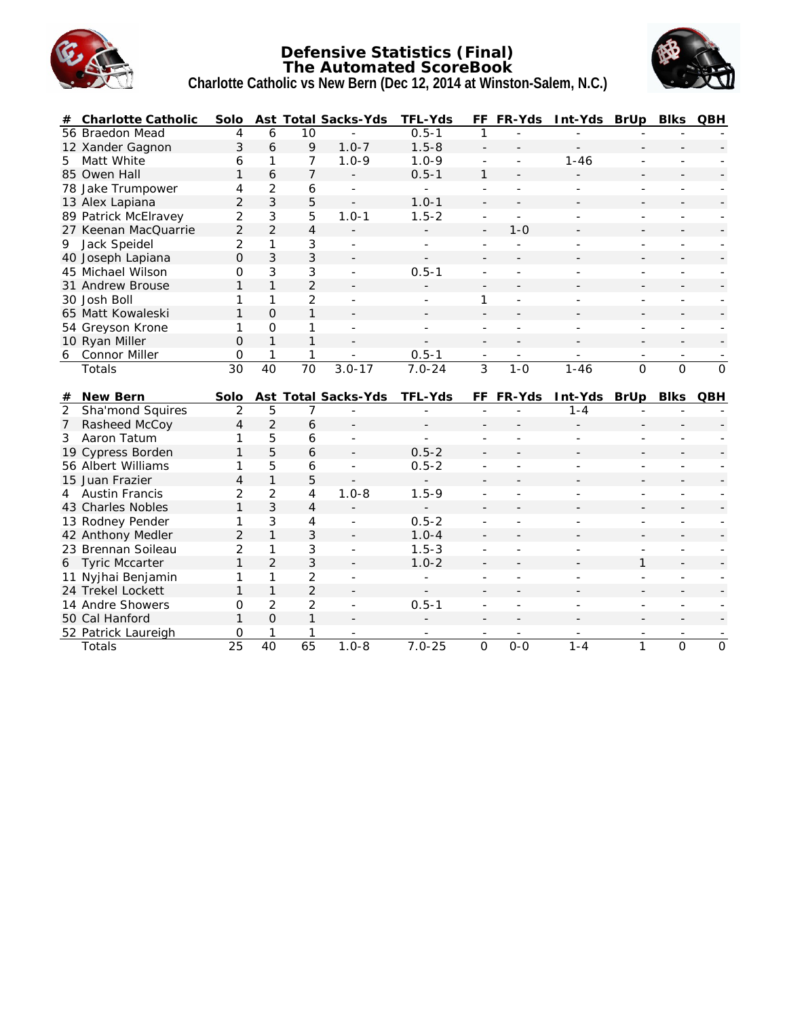

#### **Defensive Statistics (Final) The Automated ScoreBook Charlotte Catholic vs New Bern (Dec 12, 2014 at Winston-Salem, N.C.)**



| #              | Charlotte Catholic   | Solo                 |                      |                 | Ast Total Sacks-Yds      | TFL-Yds        |                | FF FR-Yds | Int-Yds BrUp |                | <b>Blks</b>    | QBH            |
|----------------|----------------------|----------------------|----------------------|-----------------|--------------------------|----------------|----------------|-----------|--------------|----------------|----------------|----------------|
|                | 56 Braedon Mead      | 4                    | 6                    | 10              |                          | $0.5 - 1$      |                |           |              |                |                |                |
|                | 12 Xander Gagnon     | 3                    | 6                    | 9               | $1.0 - 7$                | $1.5 - 8$      |                |           |              |                |                |                |
| 5              | Matt White           | 6                    | 1                    | $\overline{7}$  | $1.0 - 9$                | $1.0 - 9$      |                |           | $1 - 46$     |                |                |                |
|                | 85 Owen Hall         | $\mathbf{1}$         | 6                    | $\overline{7}$  | $\overline{\phantom{a}}$ | $0.5 - 1$      | $\mathbf{1}$   |           |              |                |                |                |
|                | 78 Jake Trumpower    | 4                    | $\overline{2}$       | 6               |                          | ÷,             |                |           |              |                |                |                |
|                | 13 Alex Lapiana      | $\overline{2}$       | 3                    | 5               | $\blacksquare$           | $1.0 - 1$      |                |           |              |                |                |                |
|                | 89 Patrick McElravey | $\overline{2}$       | 3                    | 5               | $1.0 - 1$                | $1.5 - 2$      | L              |           |              |                |                |                |
|                | 27 Keenan MacQuarrie | $\overline{2}$       | $\overline{2}$       | $\overline{4}$  |                          |                | $\overline{a}$ | $1 - 0$   |              |                |                |                |
| 9              | Jack Speidel         | 2                    | 1                    | 3               | $\overline{a}$           | $\overline{a}$ |                |           |              |                |                |                |
|                | 40 Joseph Lapiana    | 0                    | 3                    | 3               |                          |                |                |           |              |                |                |                |
|                | 45 Michael Wilson    | 0                    | 3                    | 3               |                          | $0.5 - 1$      |                |           |              |                |                |                |
|                | 31 Andrew Brouse     | 1                    | $\mathbf{1}$         | $\overline{2}$  |                          |                |                |           |              |                |                |                |
|                | 30 Josh Boll         | 1                    | 1                    | $\overline{2}$  |                          |                | 1              |           |              |                |                |                |
|                | 65 Matt Kowaleski    | 1                    | $\Omega$             | $\mathbf{1}$    |                          |                |                |           |              |                |                |                |
|                | 54 Greyson Krone     | 1                    | 0                    | 1               |                          |                |                |           |              |                |                |                |
|                | 10 Ryan Miller       | 0                    | $\mathbf{1}$         | $\mathbf{1}$    |                          |                |                |           |              |                |                |                |
|                | 6 Connor Miller      | $\mathbf{O}$         | 1                    | 1               |                          | $0.5 - 1$      |                |           |              |                |                |                |
|                | Totals               | 30                   | 40                   | $\overline{70}$ | $3.0 - 17$               | $7.0 - 24$     | 3              | $1 - 0$   | $1 - 46$     | $\overline{0}$ | $\overline{0}$ | $\overline{0}$ |
|                |                      |                      |                      |                 |                          |                |                |           |              |                |                |                |
|                |                      |                      |                      |                 |                          |                |                |           |              |                |                |                |
|                | # New Bern           | Solo                 |                      |                 | Ast Total Sacks-Yds      | TFL-Yds        |                | FF FR-Yds | Int-Yds BrUp |                | Blks QBH       |                |
| $\overline{2}$ | Sha'mond Squires     | $\overline{2}$       | 5                    | 7               |                          |                |                |           | $1 - 4$      |                |                |                |
| $\overline{7}$ | Rasheed McCoy        | $\overline{4}$       | $\overline{2}$       | 6               |                          |                |                |           |              |                |                |                |
| 3              | Aaron Tatum          | 1                    | 5                    | 6               |                          |                |                |           |              |                |                |                |
|                | 19 Cypress Borden    | 1                    | 5                    | 6               |                          | $0.5 - 2$      |                |           |              |                |                |                |
|                | 56 Albert Williams   | 1                    | 5                    | 6               | $\sim$                   | $0.5 - 2$      | ÷,             |           |              |                |                |                |
|                | 15 Juan Frazier      | $\overline{4}$       | $\mathbf{1}$         | 5               |                          |                |                |           |              |                |                |                |
|                | 4 Austin Francis     | $\overline{2}$       | $\overline{2}$       | $\overline{4}$  | $1.0 - 8$                | $1.5 - 9$      |                |           |              |                |                |                |
|                | 43 Charles Nobles    | $\mathbf{1}$         | 3                    | $\overline{4}$  |                          |                |                |           |              |                |                |                |
|                | 13 Rodney Pender     | 1                    | 3                    | 4               |                          | $0.5 - 2$      |                |           |              |                |                |                |
|                | 42 Anthony Medler    | $\overline{2}$       | $\mathbf{1}$         | 3               |                          | $1.0 - 4$      |                |           |              |                |                |                |
|                | 23 Brennan Soileau   | $\overline{2}$       | 1                    | 3               |                          | $1.5 - 3$      |                |           |              |                |                |                |
|                | 6 Tyric Mccarter     | 1                    | $\overline{2}$       | 3               |                          | $1.0 - 2$      |                |           |              | 1              |                |                |
|                | 11 Nyjhai Benjamin   | 1                    | 1                    | $\overline{2}$  |                          |                |                |           |              |                |                |                |
|                | 24 Trekel Lockett    | 1                    | $\mathbf{1}$         | $\overline{2}$  |                          |                |                |           |              |                |                |                |
|                | 14 Andre Showers     | 0                    | $\overline{2}$       | $\overline{2}$  | $\overline{\phantom{a}}$ | $0.5 - 1$      |                |           |              |                |                |                |
|                | 50 Cal Hanford       | 1                    | $\overline{O}$       | 1               |                          |                |                |           |              |                |                |                |
|                | 52 Patrick Laureigh  | 0<br>$\overline{25}$ | 1<br>$\overline{40}$ | 1<br>65         | $1.0 - 8$                | $7.0 - 25$     |                |           |              |                |                |                |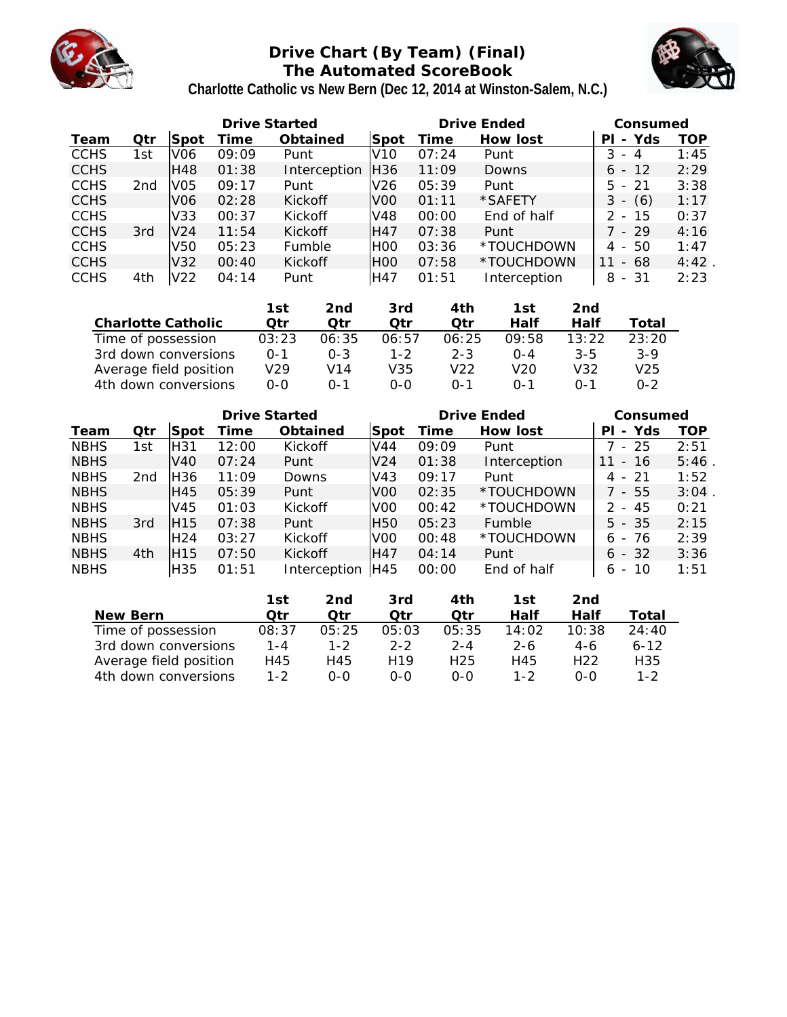

# **Drive Chart (By Team) (Final) The Automated ScoreBook**



| Charlotte Catholic vs New Bern (Dec 12, 2014 at Winston-Salem, N.C.) |  |  |
|----------------------------------------------------------------------|--|--|
|                                                                      |  |  |

|             |     |                 | Drive Started |                |                  |       | Drive Ended  | Consumed                              |      |
|-------------|-----|-----------------|---------------|----------------|------------------|-------|--------------|---------------------------------------|------|
| Team        | Qtr | Spot            | Гіmе          | Obtained       | Spot             | Time  | How lost     | Yds<br>PI<br>$\overline{\phantom{a}}$ | TOP  |
| <b>CCHS</b> | 1st | V <sub>06</sub> | 09:09         | Punt           | V10              | 07:24 | Punt         | 3<br>- 4                              | 1:45 |
| <b>CCHS</b> |     | <b>H48</b>      | 01:38         | Interception   | H36              | 11:09 | Downs        | $6 - 12$                              | 2:29 |
| <b>CCHS</b> | 2nd | VO5             | 09:17         | Punt           | V <sub>26</sub>  | 05:39 | Punt         | $5 - 21$                              | 3:38 |
| <b>CCHS</b> |     | V <sub>06</sub> | 02:28         | <b>Kickoff</b> | V <sub>0</sub>   | 01:11 | *SAFETY      | (6)<br>3<br>$\overline{\phantom{a}}$  | 1:17 |
| <b>CCHS</b> |     | V33             | 00:37         | Kickoff        | V48              | 00:00 | End of half  | 2 - 15                                | 0:37 |
| <b>CCHS</b> | 3rd | V <sub>24</sub> | 11:54         | <b>Kickoff</b> | H47              | 07:38 | Punt         | 7 - 29                                | 4:16 |
| <b>CCHS</b> |     | V50             | 05:23         | Fumble         | H <sub>0</sub>   | 03:36 | *TOUCHDOWN   | -50<br>4 -                            | 1:47 |
| <b>CCHS</b> |     | V <sub>32</sub> | 00:40         | <b>Kickoff</b> | H <sub>O</sub> O | 07:58 | *TOUCHDOWN   | 11<br>- 68                            | 4:42 |
| <b>CCHS</b> | 4th | V22             | 04:14         | Punt           | H47              | 01:51 | Interception | - 31<br>8                             | 2:23 |

|                        | 1st     | 2nd          | 3rd     | 4th     | 1st     | 2nd     |         |
|------------------------|---------|--------------|---------|---------|---------|---------|---------|
| Charlotte Catholic     | Otr     | Otr          | ∩tr     | ∩tr     | Half    | Half    | Total   |
| Time of possession     | 03:23   | 06:35        | 06:57   | 06:25   | 09:58   | 13.22   | 23:20   |
| 3rd down conversions   | $0 - 1$ | $0 - 3$      | $1 - 2$ | $2 - 3$ | $0 - 4$ | $3 - 5$ | $3-9$   |
| Average field position | V29     | V14          | V35     | V22     | V20     | V32     | V25     |
| 4th down conversions   | 0-0     | $\Omega - 1$ | റ-റ     | $0 - 1$ | $0 - 1$ | $0 - 1$ | $0 - 2$ |

|             |                 |                      |       | <b>Drive Started</b> |                 |                 |       |         | Drive Ended  |       |                                | Consumed |            |
|-------------|-----------------|----------------------|-------|----------------------|-----------------|-----------------|-------|---------|--------------|-------|--------------------------------|----------|------------|
| Team        | Qtr             | Spot                 | Time  |                      | Obtained        | Spot            | Time  |         | How lost     |       | PI                             | - Yds    | <b>TOP</b> |
| <b>NBHS</b> | 1st             | H31                  | 12:00 |                      | Kickoff         | V44             | 09:09 |         | Punt         |       | 7 - 25                         |          | 2:51       |
| <b>NBHS</b> |                 | V40                  | 07:24 |                      | Punt            | V <sub>24</sub> | 01:38 |         | Interception | 11    | $\overline{\phantom{a}}$       | 16       | 5:46       |
| <b>NBHS</b> | 2 <sub>nd</sub> | H <sub>36</sub>      | 11:09 |                      | Downs           | V43             | 09:17 |         | Punt         |       | $4 - 21$                       |          | 1:52       |
| <b>NBHS</b> |                 | H45                  | 05:39 |                      | Punt            | V <sub>0</sub>  | 02:35 |         | *TOUCHDOWN   |       | 7 - 55                         |          | 3:04       |
| <b>NBHS</b> |                 | V45                  | 01:03 |                      | Kickoff         | V <sub>0</sub>  | 00:42 |         | *TOUCHDOWN   |       | 2.<br>$\overline{\phantom{a}}$ | 45       | 0:21       |
| <b>NBHS</b> | 3rd             | H <sub>15</sub>      | 07:38 |                      | Punt            | H <sub>50</sub> | 05:23 |         | Fumble       |       | $5 - 35$                       |          | 2:15       |
| <b>NBHS</b> |                 | H <sub>24</sub>      | 03:27 |                      | Kickoff         | V <sub>0</sub>  | 00:48 |         | *TOUCHDOWN   |       | 6 -                            | 76       | 2:39       |
| <b>NBHS</b> | 4th             | H <sub>15</sub>      | 07:50 |                      | Kickoff         | H47             | 04:14 |         | Punt         |       | $6 - 32$                       |          | 3:36       |
| <b>NBHS</b> |                 | H35                  | 01:51 |                      | Interception    | H45             | 00:00 |         | End of half  |       | 6                              | $-10$    | 1:51       |
|             |                 |                      |       |                      |                 |                 |       |         |              |       |                                |          |            |
|             |                 |                      |       | 1st                  | 2 <sub>nd</sub> | 3rd             |       | 4th     | 1st          | 2nd   |                                |          |            |
|             | New Bern        |                      |       | Otr                  | Otr             | Qtr             |       | Otr     | Half         | Half  |                                | Total    |            |
|             |                 | Time of possession   |       | 08:37                | 05:25           | 05:03           |       | 05:35   | 14:02        | 10:38 |                                | 24:40    |            |
|             |                 | 3rd down conversions |       | $1 - 4$              | $1 - 2$         | $2 - 2$         |       | $2 - 4$ | $2 - 6$      | $4-6$ |                                | $6 - 12$ |            |

Average field position H45 H45 H19 H25 H45 H22 H35 4th down conversions 1-2 0-0 0-0 0-0 1-2 0-0 1-2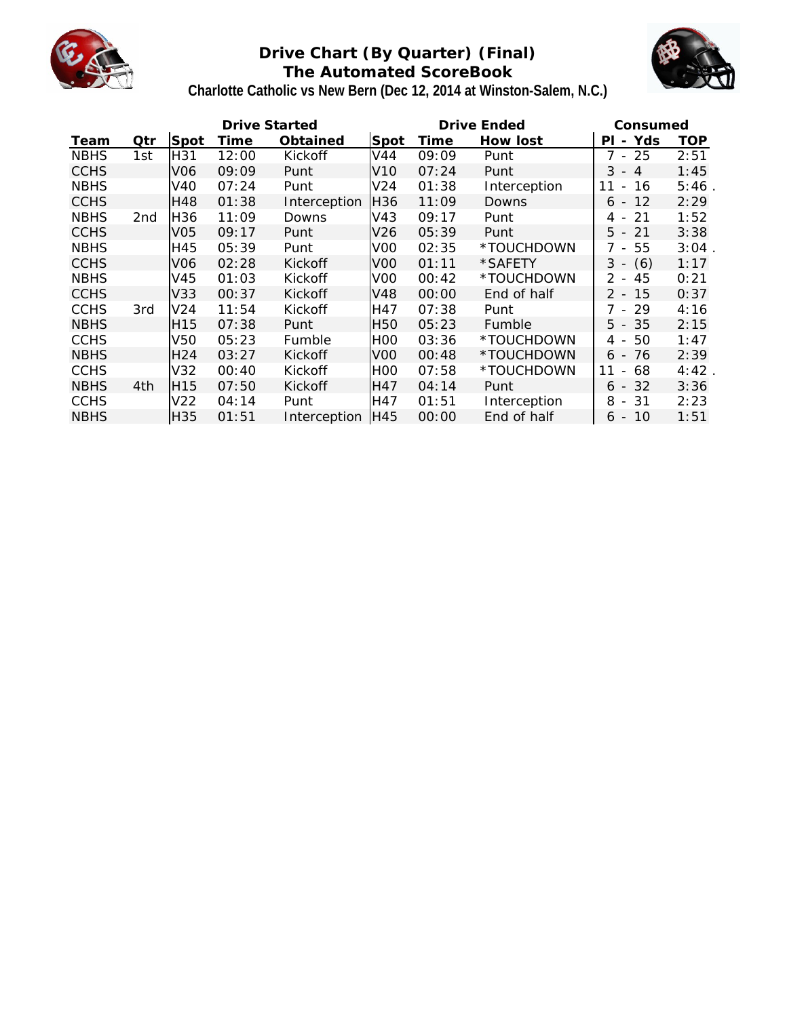

# **Drive Chart (By Quarter) (Final) The Automated ScoreBook**



# **Charlotte Catholic vs New Bern (Dec 12, 2014 at Winston-Salem, N.C.)**

|             |                 |                 | Drive Started |              |                 |       | Drive Ended  | Consumed                            |            |
|-------------|-----------------|-----------------|---------------|--------------|-----------------|-------|--------------|-------------------------------------|------------|
| Team        | Qtr             | Spot            | Time          | Obtained     | Spot            | Time  | How lost     | - Yds<br>ΡL                         | <b>TOP</b> |
| <b>NBHS</b> | 1st             | H31             | 12:00         | Kickoff      | V44             | 09:09 | Punt         | 7 - 25                              | 2:51       |
| <b>CCHS</b> |                 | V <sub>06</sub> | 09:09         | Punt         | V <sub>10</sub> | 07:24 | Punt         | 3<br>$-4$                           | 1:45       |
| <b>NBHS</b> |                 | V40             | 07:24         | Punt         | V <sub>24</sub> | 01:38 | Interception | 16<br>$\overline{\phantom{a}}$      | 5:46       |
| <b>CCHS</b> |                 | H48             | 01:38         | Interception | H36             | 11:09 | Downs        | $6 - 12$                            | 2:29       |
| <b>NBHS</b> | 2 <sub>nd</sub> | H36             | 11:09         | Downs        | V43             | 09:17 | Punt         | 21<br>4<br>$\overline{\phantom{a}}$ | 1:52       |
| <b>CCHS</b> |                 | V <sub>05</sub> | 09:17         | Punt         | V <sub>26</sub> | 05:39 | Punt         | $5 - 21$                            | 3:38       |
| <b>NBHS</b> |                 | H45             | 05:39         | Punt         | V <sub>00</sub> | 02:35 | *TOUCHDOWN   | 7 - 55                              | 3:04       |
| <b>CCHS</b> |                 | V <sub>06</sub> | 02:28         | Kickoff      | V <sub>00</sub> | 01:11 | *SAFETY      | $3 - (6)$                           | 1:17       |
| <b>NBHS</b> |                 | V45             | 01:03         | Kickoff      | V <sub>0</sub>  | 00:42 | *TOUCHDOWN   | 45<br>$2 -$                         | 0:21       |
| <b>CCHS</b> |                 | V33             | 00:37         | Kickoff      | V48             | 00:00 | End of half  | $2 - 15$                            | 0:37       |
| <b>CCHS</b> | 3rd             | V <sub>24</sub> | 11:54         | Kickoff      | H47             | 07:38 | Punt         | 7 - 29                              | 4:16       |
| <b>NBHS</b> |                 | H15             | 07:38         | Punt         | <b>H50</b>      | 05:23 | Fumble       | $5 - 35$                            | 2:15       |
| <b>CCHS</b> |                 | V50             | 05:23         | Fumble       | H <sub>0</sub>  | 03:36 | *TOUCHDOWN   | 50<br>4 -                           | 1:47       |
| <b>NBHS</b> |                 | H <sub>24</sub> | 03:27         | Kickoff      | V <sub>00</sub> | 00:48 | *TOUCHDOWN   | 76<br>6 -                           | 2:39       |
| <b>CCHS</b> |                 | V32             | 00:40         | Kickoff      | IHOO            | 07:58 | *TOUCHDOWN   | 11<br>68<br>$-$                     | 4:42       |
| <b>NBHS</b> | 4th             | H <sub>15</sub> | 07:50         | Kickoff      | <b>H47</b>      | 04:14 | Punt         | $6 - 32$                            | 3:36       |
| <b>CCHS</b> |                 | V22             | 04:14         | Punt         | H47             | 01:51 | Interception | -31<br>8<br>$\sim$                  | 2:23       |
| <b>NBHS</b> |                 | H35             | 01:51         | Interception | IH45            | 00:00 | End of half  | $6 - 10$                            | 1:51       |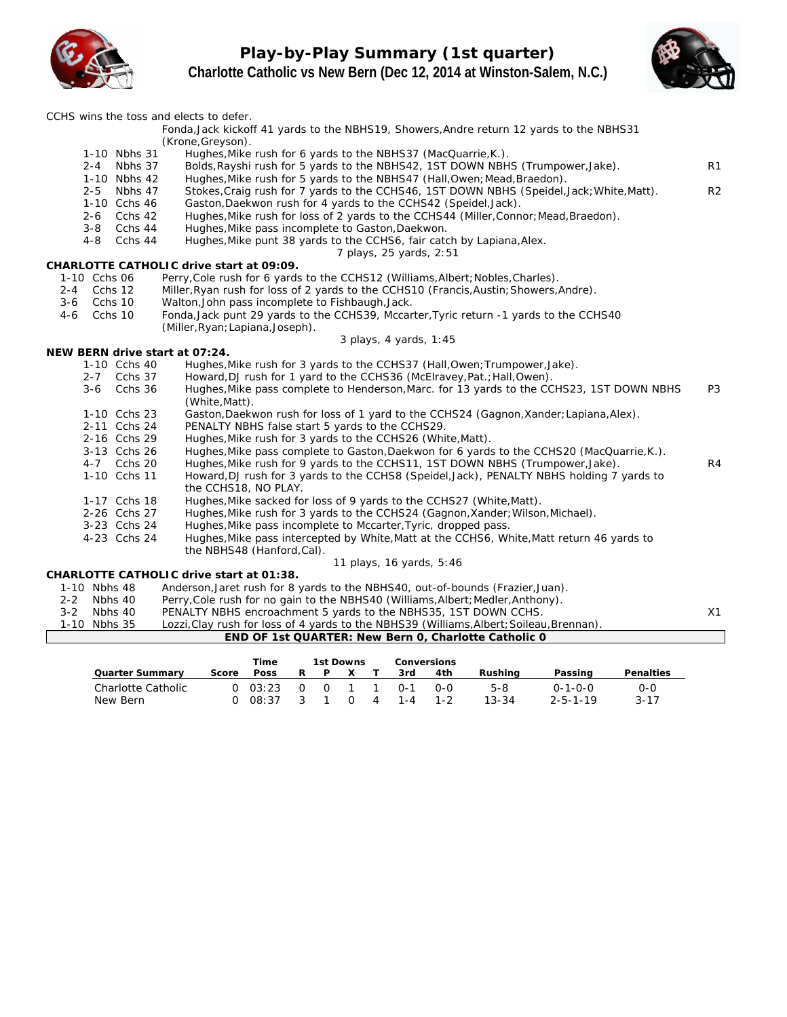**Play-by-Play Summary (1st quarter) Charlotte Catholic vs New Bern (Dec 12, 2014 at Winston-Salem, N.C.)**





|                                      | CCHS wins the toss and elects to defer.                                                                                                          |                |
|--------------------------------------|--------------------------------------------------------------------------------------------------------------------------------------------------|----------------|
|                                      | Fonda, Jack kickoff 41 yards to the NBHS19, Showers, Andre return 12 yards to the NBHS31                                                         |                |
| 1-10 Nbhs 31                         | (Krone, Greyson).<br>Hughes, Mike rush for 6 yards to the NBHS37 (MacQuarrie, K.).                                                               |                |
| 2-4 Nbhs 37                          | Bolds, Rayshi rush for 5 yards to the NBHS42, 1ST DOWN NBHS (Trumpower, Jake).                                                                   | R1             |
| 1-10 Nbhs 42                         | Hughes, Mike rush for 5 yards to the NBHS47 (Hall, Owen; Mead, Braedon).                                                                         |                |
| Nbhs 47<br>$2 - 5$                   | Stokes, Craig rush for 7 yards to the CCHS46, 1ST DOWN NBHS (Speidel, Jack; White, Matt).                                                        | R <sub>2</sub> |
| 1-10 Cchs 46                         | Gaston, Daekwon rush for 4 yards to the CCHS42 (Speidel, Jack).                                                                                  |                |
| $2 - 6$<br>Cchs 42                   | Hughes, Mike rush for loss of 2 yards to the CCHS44 (Miller, Connor; Mead, Braedon).                                                             |                |
| $3 - 8$<br>Cchs 44                   | Hughes, Mike pass incomplete to Gaston, Daekwon.                                                                                                 |                |
| $4 - 8$<br>Cchs 44                   | Hughes, Mike punt 38 yards to the CCHS6, fair catch by Lapiana, Alex.                                                                            |                |
|                                      | 7 plays, 25 yards, 2:51                                                                                                                          |                |
|                                      | CHARLOTTE CATHOLIC drive start at 09:09.                                                                                                         |                |
| 1-10 Cchs 06                         | Perry, Cole rush for 6 yards to the CCHS12 (Williams, Albert; Nobles, Charles).                                                                  |                |
| Cchs 12<br>2-4<br>Cchs 10<br>$3 - 6$ | Miller, Ryan rush for loss of 2 yards to the CCHS10 (Francis, Austin; Showers, Andre).<br>Walton, John pass incomplete to Fishbaugh, Jack.       |                |
| Cchs 10<br>4-6                       | Fonda, Jack punt 29 yards to the CCHS39, Mccarter, Tyric return -1 yards to the CCHS40                                                           |                |
|                                      | (Miller, Ryan; Lapiana, Joseph).                                                                                                                 |                |
|                                      | 3 plays, 4 yards, 1:45                                                                                                                           |                |
| NEW BERN drive start at 07:24.       |                                                                                                                                                  |                |
| 1-10 Cchs 40                         | Hughes, Mike rush for 3 yards to the CCHS37 (Hall, Owen; Trumpower, Jake).                                                                       |                |
| 2-7 Cchs 37                          | Howard, DJ rush for 1 yard to the CCHS36 (McElravey, Pat.; Hall, Owen).                                                                          |                |
| $3 - 6$<br>Cchs 36                   | Hughes, Mike pass complete to Henderson, Marc. for 13 yards to the CCHS23, 1ST DOWN NBHS<br>(White, Matt).                                       | P <sub>3</sub> |
| 1-10 Cchs 23                         | Gaston, Daekwon rush for loss of 1 yard to the CCHS24 (Gagnon, Xander; Lapiana, Alex).                                                           |                |
| 2-11 Cchs 24                         | PENALTY NBHS false start 5 yards to the CCHS29.                                                                                                  |                |
| 2-16 Cchs 29                         | Hughes, Mike rush for 3 yards to the CCHS26 (White, Matt).                                                                                       |                |
| 3-13 Cchs 26                         | Hughes, Mike pass complete to Gaston, Daekwon for 6 yards to the CCHS20 (MacQuarrie, K.).                                                        |                |
| 4-7 Cchs 20                          | Hughes, Mike rush for 9 yards to the CCHS11, 1ST DOWN NBHS (Trumpower, Jake).                                                                    | R4             |
| 1-10 Cchs 11                         | Howard, DJ rush for 3 yards to the CCHS8 (Speidel, Jack), PENALTY NBHS holding 7 yards to                                                        |                |
|                                      | the CCHS18, NO PLAY.                                                                                                                             |                |
| 1-17 Cchs 18                         | Hughes, Mike sacked for loss of 9 yards to the CCHS27 (White, Matt).                                                                             |                |
| 2-26 Cchs 27<br>3-23 Cchs 24         | Hughes, Mike rush for 3 yards to the CCHS24 (Gagnon, Xander; Wilson, Michael).<br>Hughes, Mike pass incomplete to Mccarter, Tyric, dropped pass. |                |
| 4-23 Cchs 24                         | Hughes, Mike pass intercepted by White, Matt at the CCHS6, White, Matt return 46 yards to                                                        |                |
|                                      | the NBHS48 (Hanford, Cal).                                                                                                                       |                |
|                                      | 11 plays, 16 yards, 5:46                                                                                                                         |                |
|                                      | CHARLOTTE CATHOLIC drive start at 01:38.                                                                                                         |                |
| 1-10 Nbhs 48                         | Anderson, Jaret rush for 8 yards to the NBHS40, out-of-bounds (Frazier, Juan).                                                                   |                |
| $2 - 2$<br>Nbhs 40                   | Perry, Cole rush for no gain to the NBHS40 (Williams, Albert; Medler, Anthony).                                                                  |                |
| $3 - 2$<br>Nbhs 40                   | PENALTY NBHS encroachment 5 yards to the NBHS35, 1ST DOWN CCHS.                                                                                  | X1             |
| 1-10 Nbhs 35                         | Lozzi, Clay rush for loss of 4 yards to the NBHS39 (Williams, Albert; Soileau, Brennan).                                                         |                |
|                                      | END OF 1st QUARTER: New Bern 0, Charlotte Catholic 0                                                                                             |                |
|                                      | <b>The County of County</b><br>$4 - 1$ D $-1$ $-2$                                                                                               |                |

|                                |       | Time             |                         | 1st Downs |          |                                  |                | Conversions    |                  |                                     |                 |
|--------------------------------|-------|------------------|-------------------------|-----------|----------|----------------------------------|----------------|----------------|------------------|-------------------------------------|-----------------|
| Quarter Summarv                | Score | Poss             |                         | P.        | X.       |                                  | 3rd            | 4th            | Rushina          | Passing                             | Penalties       |
| Charlotte Catholic<br>New Bern |       | 0.03:23<br>08:37 | $\cap$<br>$\mathcal{S}$ | $\cap$    | $\Omega$ | $\overline{1}$<br>$\overline{4}$ | ∩-1<br>$1 - 4$ | റ-റ<br>$1 - 2$ | 5-8<br>$13 - 34$ | $0 - 1 - 0 - 0$<br>$2 - 5 - 1 - 19$ | ი-ი<br>$3 - 17$ |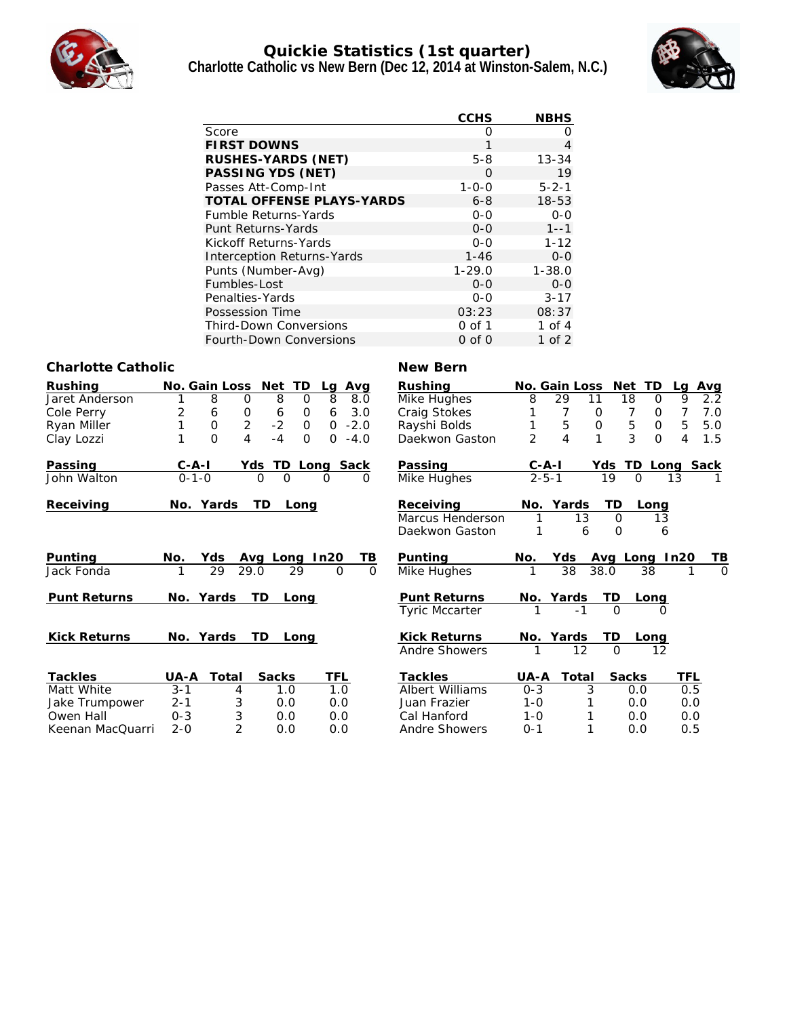

### **Quickie Statistics (1st quarter) Charlotte Catholic vs New Bern (Dec 12, 2014 at Winston-Salem, N.C.)**



|                                  | <b>CCHS</b> | <b>NBHS</b> |
|----------------------------------|-------------|-------------|
| Score                            | Ω           | ∩           |
| <b>FIRST DOWNS</b>               | 1           | 4           |
| RUSHES-YARDS (NET)               | $5 - 8$     | $13 - 34$   |
| PASSING YDS (NET)                | O           | 19          |
| Passes Att-Comp-Int              | $1 - 0 - 0$ | $5 - 2 - 1$ |
| <b>TOTAL OFFENSE PLAYS-YARDS</b> | $6 - 8$     | $18 - 53$   |
| <b>Fumble Returns-Yards</b>      | $0 - 0$     | $O - O$     |
| Punt Returns-Yards               | $0 - 0$     | $1 - -1$    |
| Kickoff Returns-Yards            | $O - O$     | $1 - 12$    |
| Interception Returns-Yards       | $1 - 46$    | $0 - 0$     |
| Punts (Number-Avg)               | $1 - 29.0$  | $1 - 38.0$  |
| Fumbles-Lost                     | $0 - 0$     | $0 - 0$     |
| Penalties-Yards                  | $0 - 0$     | $3 - 17$    |
| Possession Time                  | 03:23       | 08:37       |
| <b>Third-Down Conversions</b>    | $0$ of $1$  | 1 of 4      |
| <b>Fourth-Down Conversions</b>   | $0$ of $0$  | 1 of $2$    |

#### **Charlotte Catholic New Bern**

| Rushing             | No. Gain Loss  |                                  | TD<br>Net          |          | Avg<br>Lg                | Rushing                |                | No. Gain Loss |                     | Net      | <b>TD</b>   | Lq   | Avg      |
|---------------------|----------------|----------------------------------|--------------------|----------|--------------------------|------------------------|----------------|---------------|---------------------|----------|-------------|------|----------|
| Jaret Anderson      |                | 8<br>0                           | 8                  | $\Omega$ | 8<br>8.0                 | Mike Hughes            | 8              | 29            | 11                  | 18       | Ο           | 9    | 2.2      |
| Cole Perry          | $\overline{2}$ | 0<br>6                           | 6                  | 0        | 3.0<br>6                 | Craig Stokes           |                |               | O                   |          | 0           |      | 7.0      |
| Ryan Miller         |                | $\overline{2}$<br>$\mathbf 0$    | $-2$               | 0        | $-2.0$<br>0              | Rayshi Bolds           |                | 5             | $\mathsf{O}\xspace$ | 5        | $\mathsf O$ | 5    | 5.0      |
| Clay Lozzi          |                | $\overline{O}$<br>$\overline{4}$ | $-4$               | $\Omega$ | $\overline{O}$<br>$-4.0$ | Daekwon Gaston         | $\overline{2}$ | 4             | $\mathbf{1}$        | 3        | 0           | 4    | 1.5      |
| Passing             | $C - A - I$    | Yds                              | TD                 | Long     | Sack                     | Passing                | $C - A - I$    |               | Yds                 | TD       | Long        |      | Sack     |
| John Walton         | $0 - 1 - 0$    |                                  | 0<br>$\mathcal{O}$ |          | 0<br>O                   | Mike Hughes            |                | $2 - 5 - 1$   | 19                  | O        |             | 13   |          |
| Receiving           | No. Yards      |                                  | TD<br>Long         |          |                          | Receiving              |                | No. Yards     |                     | TD       | Long        |      |          |
|                     |                |                                  |                    |          |                          | Marcus Henderson       | 1              | 13            |                     | $\Omega$ | 13          |      |          |
|                     |                |                                  |                    |          |                          | Daekwon Gaston         | 1              |               | 6                   | $\Omega$ | 6           |      |          |
| Punting             | No.            | Yds                              | Avg Long           |          | TΒ<br>In20               | Punting                | No.            | Yds           | Avg                 | Long     |             | In20 | TВ       |
| Jack Fonda          |                | 29<br>29.0                       | 29                 |          | $\Omega$<br>$\Omega$     | Mike Hughes            |                | 38            | 38.0                |          | 38          |      | $\Omega$ |
| <b>Punt Returns</b> | No.            | Yards                            | TD<br>Long         |          |                          | <b>Punt Returns</b>    | No.            | Yards         |                     | TD       | Long        |      |          |
|                     |                |                                  |                    |          |                          | <b>Tyric Mccarter</b>  |                | $-1$          |                     | $\Omega$ | $\Omega$    |      |          |
| <b>Kick Returns</b> | No.            | Yards                            | TD<br>Long         |          |                          | <b>Kick Returns</b>    | No.            | Yards         |                     | TD       | Long        |      |          |
|                     |                |                                  |                    |          |                          | Andre Showers          |                | 12            |                     | $\Omega$ | 12          |      |          |
| Tackles             | UA-A           | Total                            | <b>Sacks</b>       |          | TFL                      | Tackles                | UA-A           | Total         |                     | Sacks    |             | TFL  |          |
| Matt White          | $3 - 1$        | 4                                | 1.0                |          | 1.0                      | <b>Albert Williams</b> | $0 - 3$        |               | 3                   | 0.0      |             | 0.5  |          |
| Jake Trumpower      | $2 - 1$        | 3                                | 0.0                |          | 0.0                      | Juan Frazier           | $1 - 0$        |               |                     | 0.0      |             | 0.0  |          |
| Owen Hall           | $0 - 3$        | 3                                | 0.0                |          | 0.0                      | Cal Hanford            | $1 - 0$        |               |                     | 0.0      |             | 0.0  |          |
| Keenan MacQuarri    | $2 - 0$        | $\overline{2}$                   | 0.0                |          | 0.0                      | Andre Showers          | $O - 1$        |               |                     | 0.0      |             | 0.5  |          |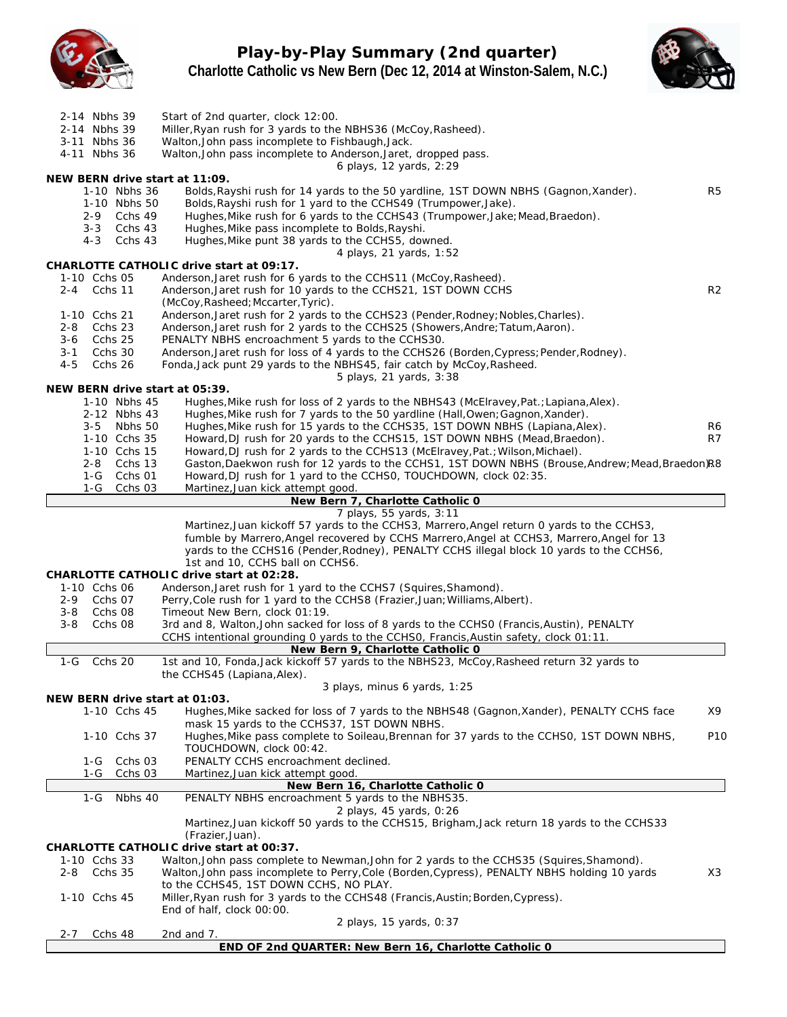

**Play-by-Play Summary (2nd quarter) Charlotte Catholic vs New Bern (Dec 12, 2014 at Winston-Salem, N.C.)**



| 2-14 Nbhs 39<br>2-14 Nbhs 39<br>3-11 Nbhs 36<br>4-11 Nbhs 36                                                              | Start of 2nd quarter, clock 12:00.<br>Miller, Ryan rush for 3 yards to the NBHS36 (McCoy, Rasheed).<br>Walton, John pass incomplete to Fishbaugh, Jack.<br>Walton, John pass incomplete to Anderson, Jaret, dropped pass.<br>6 plays, 12 yards, 2:29                                                                                                                                      |
|---------------------------------------------------------------------------------------------------------------------------|-------------------------------------------------------------------------------------------------------------------------------------------------------------------------------------------------------------------------------------------------------------------------------------------------------------------------------------------------------------------------------------------|
| NEW BERN drive start at 11:09.<br>1-10 Nbhs 36<br>1-10 Nbhs 50<br>2-9 Cchs 49<br>Cchs 43<br>$3 - 3$<br>$4 - 3$<br>Cchs 43 | R <sub>5</sub><br>Bolds, Rayshi rush for 14 yards to the 50 yardline, 1ST DOWN NBHS (Gagnon, Xander).<br>Bolds, Rayshi rush for 1 yard to the CCHS49 (Trumpower, Jake).<br>Hughes, Mike rush for 6 yards to the CCHS43 (Trumpower, Jake; Mead, Braedon).<br>Hughes, Mike pass incomplete to Bolds, Rayshi.<br>Hughes, Mike punt 38 yards to the CCHS5, downed.<br>4 plays, 21 yards, 1:52 |
| 1-10 Cchs 05                                                                                                              | CHARLOTTE CATHOLIC drive start at 09:17.<br>Anderson, Jaret rush for 6 yards to the CCHS11 (McCoy, Rasheed).                                                                                                                                                                                                                                                                              |
| Cchs 11<br>2-4                                                                                                            | Anderson, Jaret rush for 10 yards to the CCHS21, 1ST DOWN CCHS<br>R <sub>2</sub><br>(McCoy, Rasheed; Mccarter, Tyric).                                                                                                                                                                                                                                                                    |
| 1-10 Cchs 21<br>$2 - 8$<br>Cchs 23<br>Cchs 25<br>3-6                                                                      | Anderson, Jaret rush for 2 yards to the CCHS23 (Pender, Rodney; Nobles, Charles).<br>Anderson, Jaret rush for 2 yards to the CCHS25 (Showers, Andre; Tatum, Aaron).<br>PENALTY NBHS encroachment 5 yards to the CCHS30.                                                                                                                                                                   |
| Cchs 30<br>3-1<br>4-5<br>Cchs 26                                                                                          | Anderson, Jaret rush for loss of 4 yards to the CCHS26 (Borden, Cypress; Pender, Rodney).<br>Fonda, Jack punt 29 yards to the NBHS45, fair catch by McCoy, Rasheed.                                                                                                                                                                                                                       |
| NEW BERN drive start at 05:39.                                                                                            | 5 plays, 21 yards, 3:38                                                                                                                                                                                                                                                                                                                                                                   |
| 1-10 Nbhs 45                                                                                                              | Hughes, Mike rush for loss of 2 yards to the NBHS43 (McElravey, Pat.; Lapiana, Alex).                                                                                                                                                                                                                                                                                                     |
| 2-12 Nbhs 43                                                                                                              | Hughes, Mike rush for 7 yards to the 50 yardline (Hall, Owen; Gagnon, Xander).                                                                                                                                                                                                                                                                                                            |
| 3-5 Nbhs 50<br>1-10 Cchs 35                                                                                               | Hughes, Mike rush for 15 yards to the CCHS35, 1ST DOWN NBHS (Lapiana, Alex).<br>R6<br>Howard, DJ rush for 20 yards to the CCHS15, 1ST DOWN NBHS (Mead, Braedon).<br>R7                                                                                                                                                                                                                    |
| 1-10 Cchs 15                                                                                                              | Howard, DJ rush for 2 yards to the CCHS13 (McElravey, Pat.; Wilson, Michael).                                                                                                                                                                                                                                                                                                             |
| $2 - 8$<br>Cchs 13                                                                                                        | Gaston, Daekwon rush for 12 yards to the CCHS1, 1ST DOWN NBHS (Brouse, Andrew; Mead, Braedon)R8                                                                                                                                                                                                                                                                                           |
| $1-G$<br>Cchs 01<br>$1-G$<br>Cchs 03                                                                                      | Howard, DJ rush for 1 yard to the CCHSO, TOUCHDOWN, clock 02:35.<br>Martinez, Juan kick attempt good.                                                                                                                                                                                                                                                                                     |
|                                                                                                                           | New Bern 7, Charlotte Catholic 0                                                                                                                                                                                                                                                                                                                                                          |
|                                                                                                                           | 7 plays, 55 yards, 3:11                                                                                                                                                                                                                                                                                                                                                                   |
|                                                                                                                           | Martinez, Juan kickoff 57 yards to the CCHS3, Marrero, Angel return 0 yards to the CCHS3,<br>fumble by Marrero, Angel recovered by CCHS Marrero, Angel at CCHS3, Marrero, Angel for 13                                                                                                                                                                                                    |
|                                                                                                                           | yards to the CCHS16 (Pender, Rodney), PENALTY CCHS illegal block 10 yards to the CCHS6,                                                                                                                                                                                                                                                                                                   |
|                                                                                                                           | 1st and 10, CCHS ball on CCHS6.                                                                                                                                                                                                                                                                                                                                                           |
| 1-10 Cchs 06                                                                                                              | CHARLOTTE CATHOLIC drive start at 02:28.<br>Anderson, Jaret rush for 1 yard to the CCHS7 (Squires, Shamond).                                                                                                                                                                                                                                                                              |
| Cchs 07<br>$2 - 9$                                                                                                        | Perry, Cole rush for 1 yard to the CCHS8 (Frazier, Juan; Williams, Albert).                                                                                                                                                                                                                                                                                                               |
| $3 - 8$<br>Cchs 08                                                                                                        | Timeout New Bern, clock 01:19.                                                                                                                                                                                                                                                                                                                                                            |
| $3 - 8$<br>Cchs 08                                                                                                        | 3rd and 8, Walton, John sacked for loss of 8 yards to the CCHSO (Francis, Austin), PENALTY                                                                                                                                                                                                                                                                                                |
|                                                                                                                           | CCHS intentional grounding 0 yards to the CCHSO, Francis, Austin safety, clock 01:11.<br>New Bern 9, Charlotte Catholic 0                                                                                                                                                                                                                                                                 |
| $1-G$<br>Cchs 20                                                                                                          | 1st and 10, Fonda, Jack kickoff 57 yards to the NBHS23, McCoy, Rasheed return 32 yards to                                                                                                                                                                                                                                                                                                 |
|                                                                                                                           | the CCHS45 (Lapiana, Alex).                                                                                                                                                                                                                                                                                                                                                               |
| NEW BERN drive start at 01:03.                                                                                            | 3 plays, minus 6 yards, 1:25                                                                                                                                                                                                                                                                                                                                                              |
| 1-10 Cchs 45                                                                                                              | Hughes, Mike sacked for loss of 7 yards to the NBHS48 (Gagnon, Xander), PENALTY CCHS face<br>X9<br>mask 15 yards to the CCHS37, 1ST DOWN NBHS.                                                                                                                                                                                                                                            |
| 1-10 Cchs 37                                                                                                              | Hughes, Mike pass complete to Soileau, Brennan for 37 yards to the CCHS0, 1ST DOWN NBHS,<br>P <sub>10</sub><br>TOUCHDOWN, clock 00:42.                                                                                                                                                                                                                                                    |
| Cchs 03<br>1-G                                                                                                            | PENALTY CCHS encroachment declined.                                                                                                                                                                                                                                                                                                                                                       |
| Cchs 03<br>1-G                                                                                                            | Martinez, Juan kick attempt good.                                                                                                                                                                                                                                                                                                                                                         |
| Nbhs $40$<br>$1-G$                                                                                                        | New Bern 16, Charlotte Catholic 0<br>PENALTY NBHS encroachment 5 yards to the NBHS35.                                                                                                                                                                                                                                                                                                     |
|                                                                                                                           | 2 plays, 45 yards, 0:26                                                                                                                                                                                                                                                                                                                                                                   |
|                                                                                                                           | Martinez, Juan kickoff 50 yards to the CCHS15, Brigham, Jack return 18 yards to the CCHS33<br>(Frazier, Juan).                                                                                                                                                                                                                                                                            |
| 1-10 Cchs 33                                                                                                              | CHARLOTTE CATHOLIC drive start at 00:37.                                                                                                                                                                                                                                                                                                                                                  |
| Cchs 35<br>2-8                                                                                                            | Walton, John pass complete to Newman, John for 2 yards to the CCHS35 (Squires, Shamond).<br>Walton, John pass incomplete to Perry, Cole (Borden, Cypress), PENALTY NBHS holding 10 yards<br>X3                                                                                                                                                                                            |
|                                                                                                                           | to the CCHS45, 1ST DOWN CCHS, NO PLAY.                                                                                                                                                                                                                                                                                                                                                    |
| 1-10 Cchs 45                                                                                                              | Miller, Ryan rush for 3 yards to the CCHS48 (Francis, Austin; Borden, Cypress).<br>End of half, clock 00:00.                                                                                                                                                                                                                                                                              |
|                                                                                                                           | 2 plays, 15 yards, 0:37                                                                                                                                                                                                                                                                                                                                                                   |
| Cchs 48<br>$2 - 7$                                                                                                        | 2nd and 7.                                                                                                                                                                                                                                                                                                                                                                                |
|                                                                                                                           | END OF 2nd QUARTER: New Bern 16, Charlotte Catholic O                                                                                                                                                                                                                                                                                                                                     |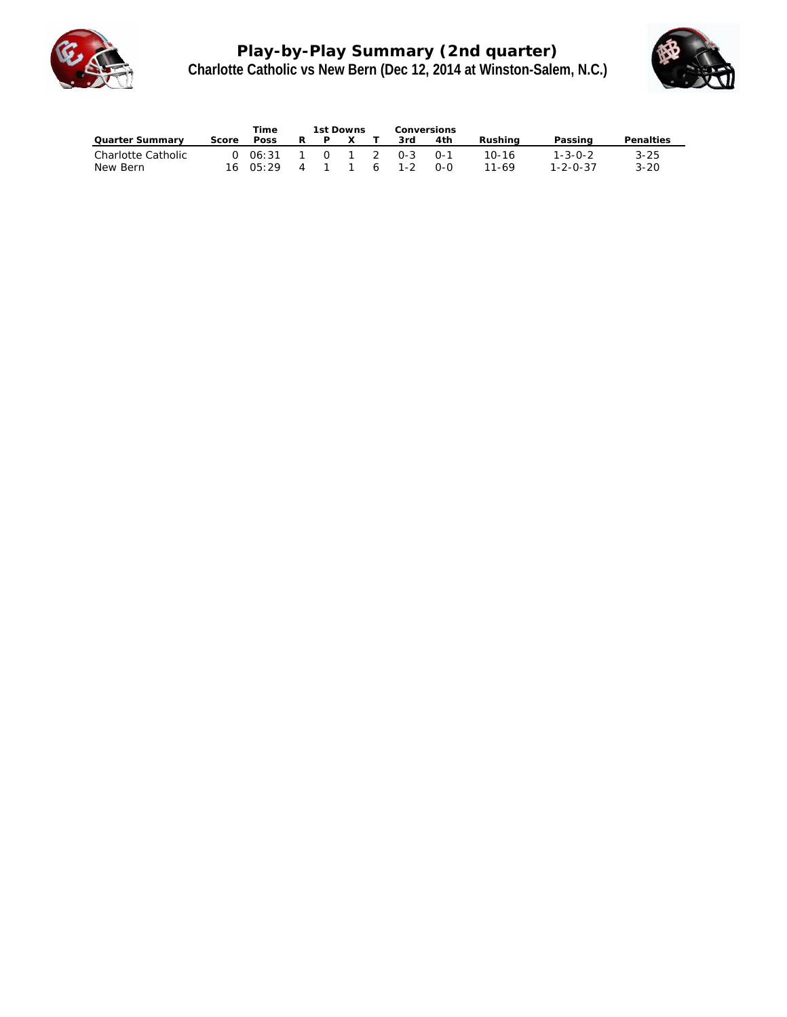

**Play-by-Play Summary (2nd quarter) Charlotte Catholic vs New Bern (Dec 12, 2014 at Winston-Salem, N.C.)**



|                                |       | Time                        |                | 1st Downs |          |   | Conversions            |            |                    |                                     |                      |
|--------------------------------|-------|-----------------------------|----------------|-----------|----------|---|------------------------|------------|--------------------|-------------------------------------|----------------------|
| Quarter Summary                | Score | Poss                        | R.             | P         | $\times$ |   | 3rd                    | 4th        | Rushina            | Passing                             | Penalties            |
| Charlotte Catholic<br>New Bern |       | 0.06:31<br>$16 \quad 05:29$ | $\overline{4}$ |           |          | 6 | 1 0 1 2 0-3<br>$1 - 2$ | ∩-1<br>റ-റ | $10 - 16$<br>11-69 | $1 - 3 - 0 - 2$<br>$1 - 2 - 0 - 37$ | $3 - 25$<br>$3 - 20$ |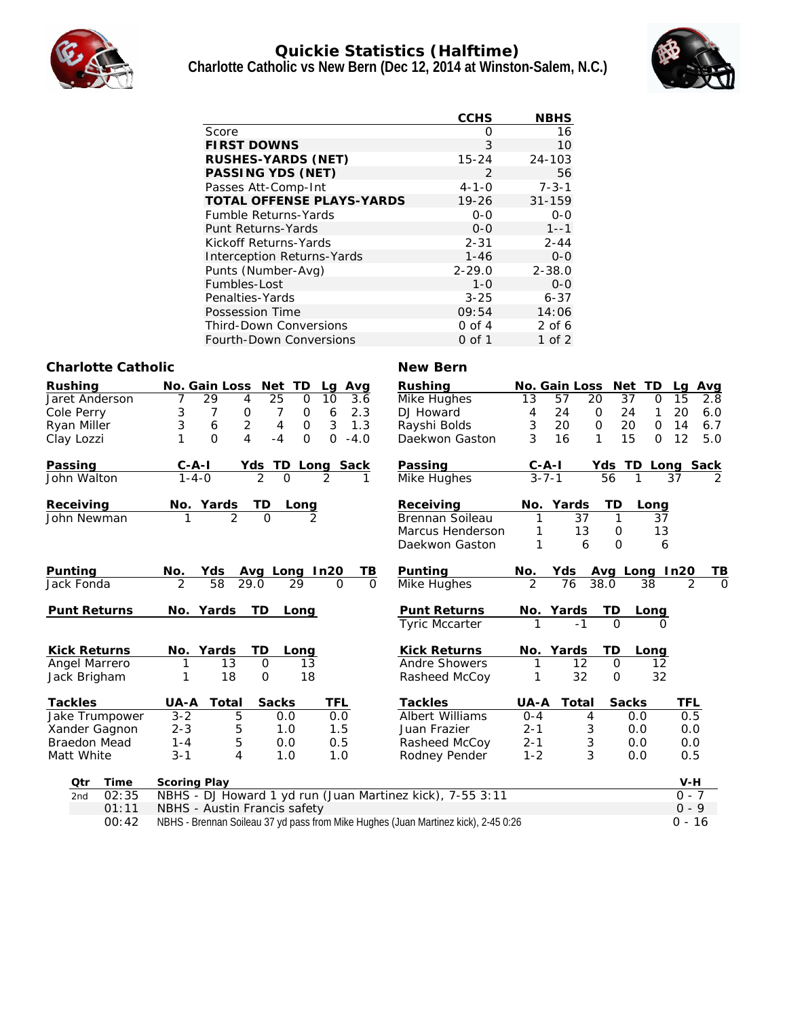

#### **Quickie Statistics (Halftime) Charlotte Catholic vs New Bern (Dec 12, 2014 at Winston-Salem, N.C.)**



|                                  | <b>CCHS</b> | <b>NBHS</b> |
|----------------------------------|-------------|-------------|
| Score                            | Ω           | 16          |
| <b>FIRST DOWNS</b>               | 3           | 10          |
| RUSHES-YARDS (NET)               | $15 - 24$   | $24 - 103$  |
| PASSING YDS (NET)                | 2           | 56          |
| Passes Att-Comp-Int              | $4 - 1 - 0$ | $7 - 3 - 1$ |
| <b>TOTAL OFFENSE PLAYS-YARDS</b> | $19 - 26$   | $31 - 159$  |
| <b>Fumble Returns-Yards</b>      | $0 - 0$     | $O - O$     |
| Punt Returns-Yards               | $O - O$     | $1 - -1$    |
| Kickoff Returns-Yards            | $2 - 31$    | $2 - 44$    |
| Interception Returns-Yards       | $1 - 46$    | $0 - 0$     |
| Punts (Number-Avg)               | $2 - 29.0$  | $2 - 38.0$  |
| Fumbles-Lost                     | $1 - 0$     | $0 - 0$     |
| Penalties-Yards                  | $3 - 25$    | $6 - 37$    |
| Possession Time                  | 09:54       | 14:06       |
| <b>Third-Down Conversions</b>    | $0$ of $4$  | $2$ of 6    |
| <b>Fourth-Down Conversions</b>   | 0 of 1      | 1 of $2$    |

#### **Charlotte Catholic New Bern**

| Rushing             | TD<br>No. Gain Loss<br>Net<br>Avg<br>Lg                                            | Rushing                 | No. Gain Loss                     | TD<br>Net                                | Avg<br>La            |
|---------------------|------------------------------------------------------------------------------------|-------------------------|-----------------------------------|------------------------------------------|----------------------|
| Jaret Anderson      | 29<br>$\overline{4}$<br>$\overline{25}$<br>$\Omega$<br>7<br>10<br>3.6              | Mike Hughes             | 13<br>57                          | 37<br>20<br>$\Omega$                     | 15<br>2.8            |
| Cole Perry          | 3<br>7<br>2.3<br>0<br>7<br>$\mathsf{O}\xspace$<br>6                                | DJ Howard               | 24<br>4                           | 24<br>$\mathbf 0$<br>1                   | 20<br>6.0            |
| Ryan Miller         | 6<br>$\overline{2}$<br>3<br>3<br>4<br>1.3<br>$\mathsf O$                           | Rayshi Bolds            | 3<br>20                           | $\mathsf O$<br>20<br>$\mathsf{O}\xspace$ | 14<br>6.7            |
| Clay Lozzi          | $\overline{O}$<br>$\overline{4}$<br>1<br>$-4$<br>$\Omega$<br>$-4.0$<br>$\Omega$    | Daekwon Gaston          | 3<br>16                           | 1<br>15<br>$\Omega$                      | 12<br>5.0            |
| Passing             | $C - A - I$<br>Yds<br>TD<br>Long Sack                                              | Passing                 | $C - A - I$                       | Yds TD                                   | Long Sack            |
| John Walton         | $1 - 4 - 0$<br>$\mathcal{D}$<br>$\mathcal{P}$<br>$\Omega$                          | Mike Hughes             | $3 - 7 - 1$                       | $\overline{56}$<br>1                     | $\overline{2}$<br>37 |
| Receiving           | TD<br>Yards<br>Long<br>No.                                                         | Receiving               | Yards<br>No.                      | TD<br>Long                               |                      |
| John Newman         | $\Omega$<br>$\mathcal{P}$                                                          | <b>Brennan Soileau</b>  | 37<br>1                           | 37<br>$\mathbf{1}$                       |                      |
|                     |                                                                                    | Marcus Henderson        | 13<br>1                           | 13<br>0                                  |                      |
|                     |                                                                                    | Daekwon Gaston          | 1<br>6                            | 6<br>$\Omega$                            |                      |
| Punting             | Avg Long In20<br>No.<br>Yds                                                        | Punting<br>TB           | No.<br>Yds                        | Avg Long                                 | In20<br>ΤB           |
| Jack Fonda          | $\overline{2}$<br>$\overline{58}$<br>29.0<br>29<br>$\Omega$                        | $\Omega$<br>Mike Hughes | $\overline{2}$<br>$\overline{76}$ | 38.0<br>38                               | $\Omega$<br>2        |
| Punt Returns        | No. Yards<br>TD<br>Long                                                            | Punt Returns            | No. Yards                         | TD<br>Long                               |                      |
|                     |                                                                                    | <b>Tyric Mccarter</b>   | $-1$                              | $\Omega$<br>$\Omega$                     |                      |
| Kick Returns        | TD<br>No. Yards<br>Long                                                            | Kick Returns            | No. Yards                         | TD<br>Long                               |                      |
| Angel Marrero       | $\overline{O}$<br>13<br>13<br>1                                                    | Andre Showers           | 12<br>1                           | $\mathbf{O}$<br>12                       |                      |
| Jack Brigham        | 18<br>$\overline{O}$<br>18<br>1                                                    | Rasheed McCoy           | 32                                | 32<br>$\mathbf 0$                        |                      |
| Tackles             | Total<br><b>Sacks</b><br>UA-A<br>TFL                                               | Tackles                 | UA-A<br>Total                     | Sacks                                    | TFL                  |
| Jake Trumpower      | $3 - 2$<br>5<br>0.0<br>0.0                                                         | Albert Williams         | $O - 4$<br>4                      | 0.0                                      | 0.5                  |
| Xander Gagnon       | $2 - 3$<br>5<br>1.5<br>1.0                                                         | Juan Frazier            | 3<br>$2 - 1$                      | 0.0                                      | 0.0                  |
| <b>Braedon Mead</b> | 5<br>$1 - 4$<br>0.5<br>0.0                                                         | Rasheed McCoy           | 3<br>$2 - 1$                      | 0.0                                      | 0.0                  |
| Matt White          | $3 - 1$<br>4<br>1.0<br>1.0                                                         | Rodney Pender           | 3<br>$1 - 2$                      | 0.0                                      | 0.5                  |
| Time<br>Qtr         | Scoring Play                                                                       |                         |                                   |                                          | V-H                  |
| 02:35<br>2nd        | NBHS - DJ Howard 1 yd run (Juan Martinez kick), 7-55 3:11                          |                         |                                   |                                          | $0 - 7$              |
| 01:11               | NBHS - Austin Francis safety                                                       |                         |                                   |                                          | $0 - 9$              |
| 00:42               | NBHS - Brennan Soileau 37 yd pass from Mike Hughes (Juan Martinez kick), 2-45 0:26 |                         |                                   |                                          | $0 - 16$             |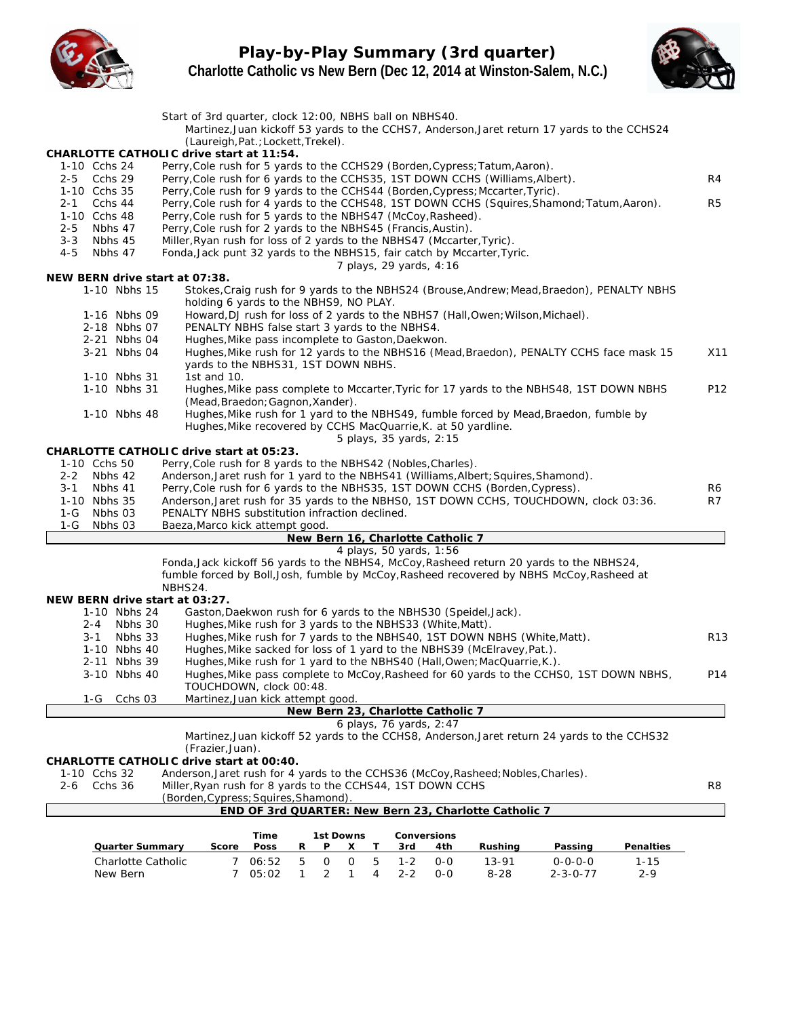

**Play-by-Play Summary (3rd quarter) Charlotte Catholic vs New Bern (Dec 12, 2014 at Winston-Salem, N.C.)**



|         |                                                | Start of 3rd quarter, clock 12:00, NBHS ball on NBHS40.                                           |            |                                                                                                    |        |                  |                   |   |                |                                   |                                                                                                                                                                 | Martinez, Juan kickoff 53 yards to the CCHS7, Anderson, Jaret return 17 yards to the CCHS24 |                       |                 |
|---------|------------------------------------------------|---------------------------------------------------------------------------------------------------|------------|----------------------------------------------------------------------------------------------------|--------|------------------|-------------------|---|----------------|-----------------------------------|-----------------------------------------------------------------------------------------------------------------------------------------------------------------|---------------------------------------------------------------------------------------------|-----------------------|-----------------|
|         |                                                |                                                                                                   |            | (Laureigh, Pat.; Lockett, Trekel).                                                                 |        |                  |                   |   |                |                                   |                                                                                                                                                                 |                                                                                             |                       |                 |
|         | CHARLOTTE CATHOLIC drive start at 11:54.       |                                                                                                   |            |                                                                                                    |        |                  |                   |   |                |                                   |                                                                                                                                                                 |                                                                                             |                       |                 |
|         | 1-10 Cchs 24                                   |                                                                                                   |            |                                                                                                    |        |                  |                   |   |                |                                   | Perry, Cole rush for 5 yards to the CCHS29 (Borden, Cypress; Tatum, Aaron).                                                                                     |                                                                                             |                       |                 |
|         | 2-5 Cchs 29<br>1-10 Cchs 35                    |                                                                                                   |            |                                                                                                    |        |                  |                   |   |                |                                   | Perry, Cole rush for 6 yards to the CCHS35, 1ST DOWN CCHS (Williams, Albert).<br>Perry, Cole rush for 9 yards to the CCHS44 (Borden, Cypress; Mccarter, Tyric). |                                                                                             |                       | R4              |
| 2-1     | Cchs 44                                        |                                                                                                   |            |                                                                                                    |        |                  |                   |   |                |                                   |                                                                                                                                                                 | Perry, Cole rush for 4 yards to the CCHS48, 1ST DOWN CCHS (Squires, Shamond; Tatum, Aaron). |                       | R5              |
|         | 1-10 Cchs 48                                   | Perry, Cole rush for 5 yards to the NBHS47 (McCoy, Rasheed).                                      |            |                                                                                                    |        |                  |                   |   |                |                                   |                                                                                                                                                                 |                                                                                             |                       |                 |
| $2 - 5$ | Nbhs 47                                        | Perry, Cole rush for 2 yards to the NBHS45 (Francis, Austin).                                     |            |                                                                                                    |        |                  |                   |   |                |                                   |                                                                                                                                                                 |                                                                                             |                       |                 |
| $3 - 3$ | Nbhs 45                                        | Miller, Ryan rush for loss of 2 yards to the NBHS47 (Mccarter, Tyric).                            |            |                                                                                                    |        |                  |                   |   |                |                                   |                                                                                                                                                                 |                                                                                             |                       |                 |
| $4 - 5$ | Nbhs 47                                        |                                                                                                   |            |                                                                                                    |        |                  |                   |   |                | 7 plays, 29 yards, 4:16           | Fonda, Jack punt 32 yards to the NBHS15, fair catch by Mccarter, Tyric.                                                                                         |                                                                                             |                       |                 |
|         | NEW BERN drive start at 07:38.                 |                                                                                                   |            |                                                                                                    |        |                  |                   |   |                |                                   |                                                                                                                                                                 |                                                                                             |                       |                 |
|         | 1-10 Nbhs 15                                   |                                                                                                   |            |                                                                                                    |        |                  |                   |   |                |                                   |                                                                                                                                                                 | Stokes, Craig rush for 9 yards to the NBHS24 (Brouse, Andrew; Mead, Braedon), PENALTY NBHS  |                       |                 |
|         |                                                |                                                                                                   |            | holding 6 yards to the NBHS9, NO PLAY.                                                             |        |                  |                   |   |                |                                   |                                                                                                                                                                 |                                                                                             |                       |                 |
|         | 1-16 Nbhs 09                                   |                                                                                                   |            |                                                                                                    |        |                  |                   |   |                |                                   | Howard, DJ rush for loss of 2 yards to the NBHS7 (Hall, Owen; Wilson, Michael).                                                                                 |                                                                                             |                       |                 |
|         | 2-18 Nbhs 07<br>2-21 Nbhs 04                   |                                                                                                   |            | PENALTY NBHS false start 3 yards to the NBHS4.<br>Hughes, Mike pass incomplete to Gaston, Daekwon. |        |                  |                   |   |                |                                   |                                                                                                                                                                 |                                                                                             |                       |                 |
|         | 3-21 Nbhs 04                                   |                                                                                                   |            |                                                                                                    |        |                  |                   |   |                |                                   |                                                                                                                                                                 | Hughes, Mike rush for 12 yards to the NBHS16 (Mead, Braedon), PENALTY CCHS face mask 15     |                       | X11             |
|         |                                                |                                                                                                   |            | yards to the NBHS31, 1ST DOWN NBHS.                                                                |        |                  |                   |   |                |                                   |                                                                                                                                                                 |                                                                                             |                       |                 |
|         | 1-10 Nbhs 31                                   | 1st and 10.                                                                                       |            |                                                                                                    |        |                  |                   |   |                |                                   |                                                                                                                                                                 |                                                                                             |                       |                 |
|         | 1-10 Nbhs 31                                   |                                                                                                   |            |                                                                                                    |        |                  |                   |   |                |                                   |                                                                                                                                                                 | Hughes, Mike pass complete to Mccarter, Tyric for 17 yards to the NBHS48, 1ST DOWN NBHS     |                       | P12             |
|         |                                                |                                                                                                   |            | (Mead, Braedon; Gagnon, Xander).                                                                   |        |                  |                   |   |                |                                   |                                                                                                                                                                 |                                                                                             |                       |                 |
|         | 1-10 Nbhs 48                                   |                                                                                                   |            |                                                                                                    |        |                  |                   |   |                |                                   | Hughes, Mike recovered by CCHS MacQuarrie, K. at 50 yardline.                                                                                                   | Hughes, Mike rush for 1 yard to the NBHS49, fumble forced by Mead, Braedon, fumble by       |                       |                 |
|         |                                                |                                                                                                   |            |                                                                                                    |        |                  |                   |   |                | 5 plays, 35 yards, 2:15           |                                                                                                                                                                 |                                                                                             |                       |                 |
|         | CHARLOTTE CATHOLIC drive start at 05:23.       |                                                                                                   |            |                                                                                                    |        |                  |                   |   |                |                                   |                                                                                                                                                                 |                                                                                             |                       |                 |
|         | 1-10 Cchs 50                                   | Perry, Cole rush for 8 yards to the NBHS42 (Nobles, Charles).                                     |            |                                                                                                    |        |                  |                   |   |                |                                   |                                                                                                                                                                 |                                                                                             |                       |                 |
| $2 - 2$ | Nbhs 42                                        |                                                                                                   |            |                                                                                                    |        |                  |                   |   |                |                                   | Anderson, Jaret rush for 1 yard to the NBHS41 (Williams, Albert; Squires, Shamond).                                                                             |                                                                                             |                       |                 |
| 3-1     | Nbhs 41                                        | Perry, Cole rush for 6 yards to the NBHS35, 1ST DOWN CCHS (Borden, Cypress).                      |            |                                                                                                    |        |                  |                   |   |                |                                   |                                                                                                                                                                 |                                                                                             |                       | R6              |
|         |                                                |                                                                                                   |            |                                                                                                    |        |                  |                   |   |                |                                   |                                                                                                                                                                 |                                                                                             |                       |                 |
|         | 1-10 Nbhs 35                                   |                                                                                                   |            |                                                                                                    |        |                  |                   |   |                |                                   |                                                                                                                                                                 | Anderson, Jaret rush for 35 yards to the NBHS0, 1ST DOWN CCHS, TOUCHDOWN, clock 03:36.      |                       | R7              |
|         | 1-G Nbhs 03                                    | PENALTY NBHS substitution infraction declined.                                                    |            |                                                                                                    |        |                  |                   |   |                |                                   |                                                                                                                                                                 |                                                                                             |                       |                 |
| $1-G$   | Nbhs 03                                        | Baeza, Marco kick attempt good.                                                                   |            |                                                                                                    |        |                  |                   |   |                | New Bern 16, Charlotte Catholic 7 |                                                                                                                                                                 |                                                                                             |                       |                 |
|         |                                                |                                                                                                   |            |                                                                                                    |        |                  |                   |   |                | 4 plays, 50 yards, 1:56           |                                                                                                                                                                 |                                                                                             |                       |                 |
|         |                                                |                                                                                                   |            |                                                                                                    |        |                  |                   |   |                |                                   |                                                                                                                                                                 | Fonda, Jack kickoff 56 yards to the NBHS4, McCoy, Rasheed return 20 yards to the NBHS24,    |                       |                 |
|         |                                                |                                                                                                   |            |                                                                                                    |        |                  |                   |   |                |                                   |                                                                                                                                                                 | fumble forced by Boll, Josh, fumble by McCoy, Rasheed recovered by NBHS McCoy, Rasheed at   |                       |                 |
|         |                                                | NBHS24.                                                                                           |            |                                                                                                    |        |                  |                   |   |                |                                   |                                                                                                                                                                 |                                                                                             |                       |                 |
|         | NEW BERN drive start at 03:27.<br>1-10 Nbhs 24 |                                                                                                   |            |                                                                                                    |        |                  |                   |   |                |                                   | Gaston, Daekwon rush for 6 yards to the NBHS30 (Speidel, Jack).                                                                                                 |                                                                                             |                       |                 |
|         | 2-4 Nbhs 30                                    |                                                                                                   |            | Hughes, Mike rush for 3 yards to the NBHS33 (White, Matt).                                         |        |                  |                   |   |                |                                   |                                                                                                                                                                 |                                                                                             |                       |                 |
|         | $3 - 1$<br>Nbhs 33                             |                                                                                                   |            |                                                                                                    |        |                  |                   |   |                |                                   | Hughes, Mike rush for 7 yards to the NBHS40, 1ST DOWN NBHS (White, Matt).                                                                                       |                                                                                             |                       | R <sub>13</sub> |
|         | 1-10 Nbhs 40                                   |                                                                                                   |            |                                                                                                    |        |                  |                   |   |                |                                   | Hughes, Mike sacked for loss of 1 yard to the NBHS39 (McElravey, Pat.).                                                                                         |                                                                                             |                       |                 |
|         | 2-11 Nbhs 39                                   |                                                                                                   |            |                                                                                                    |        |                  |                   |   |                |                                   | Hughes, Mike rush for 1 yard to the NBHS40 (Hall, Owen; MacQuarrie, K.).                                                                                        |                                                                                             |                       |                 |
|         | 3-10 Nbhs 40                                   |                                                                                                   |            |                                                                                                    |        |                  |                   |   |                |                                   |                                                                                                                                                                 | Hughes, Mike pass complete to McCoy, Rasheed for 60 yards to the CCHS0, 1ST DOWN NBHS,      |                       | P14             |
|         |                                                |                                                                                                   |            | TOUCHDOWN, clock 00:48.                                                                            |        |                  |                   |   |                |                                   |                                                                                                                                                                 |                                                                                             |                       |                 |
|         | Cchs 03<br>1-G                                 |                                                                                                   |            | Martinez, Juan kick attempt good.                                                                  |        |                  |                   |   |                | New Bern 23, Charlotte Catholic 7 |                                                                                                                                                                 |                                                                                             |                       |                 |
|         |                                                |                                                                                                   |            |                                                                                                    |        |                  |                   |   |                | 6 plays, 76 yards, 2:47           |                                                                                                                                                                 |                                                                                             |                       |                 |
|         |                                                |                                                                                                   |            |                                                                                                    |        |                  |                   |   |                |                                   |                                                                                                                                                                 | Martinez, Juan kickoff 52 yards to the CCHS8, Anderson, Jaret return 24 yards to the CCHS32 |                       |                 |
|         |                                                | (Frazier,Juan).                                                                                   |            |                                                                                                    |        |                  |                   |   |                |                                   |                                                                                                                                                                 |                                                                                             |                       |                 |
|         | CHARLOTTE CATHOLIC drive start at 00:40.       |                                                                                                   |            |                                                                                                    |        |                  |                   |   |                |                                   |                                                                                                                                                                 |                                                                                             |                       |                 |
|         | 1-10 Cchs 32                                   |                                                                                                   |            |                                                                                                    |        |                  |                   |   |                |                                   | Anderson, Jaret rush for 4 yards to the CCHS36 (McCoy, Rasheed; Nobles, Charles).                                                                               |                                                                                             |                       |                 |
| 2-6     | Cchs 36                                        | Miller, Ryan rush for 8 yards to the CCHS44, 1ST DOWN CCHS<br>(Borden, Cypress; Squires, Shamond) |            |                                                                                                    |        |                  |                   |   |                |                                   |                                                                                                                                                                 |                                                                                             |                       | R8              |
|         |                                                |                                                                                                   |            |                                                                                                    |        |                  |                   |   |                |                                   | END OF 3rd QUARTER: New Bern 23, Charlotte Catholic 7                                                                                                           |                                                                                             |                       |                 |
|         |                                                |                                                                                                   |            |                                                                                                    |        |                  |                   |   |                |                                   |                                                                                                                                                                 |                                                                                             |                       |                 |
|         |                                                |                                                                                                   |            | Time                                                                                               | R      | P                | 1st Downs         | Τ |                | Conversions                       |                                                                                                                                                                 |                                                                                             |                       |                 |
|         | Quarter Summary<br>Charlotte Catholic          |                                                                                                   | Score<br>7 | Poss                                                                                               |        |                  | Х                 | 5 | 3rd<br>$1 - 2$ | 4th<br>$0-0$                      | Rushing<br>13-91                                                                                                                                                | Passing<br>$0 - 0 - 0 - 0$                                                                  | Penalties<br>$1 - 15$ |                 |
|         | New Bern                                       |                                                                                                   | 7          | 06:52<br>05:02                                                                                     | 5<br>1 | $\mathbf 0$<br>2 | $\mathsf{O}$<br>1 | 4 | $2 - 2$        | $0-0$                             | $8 - 28$                                                                                                                                                        | $2 - 3 - 0 - 77$                                                                            | $2 - 9$               |                 |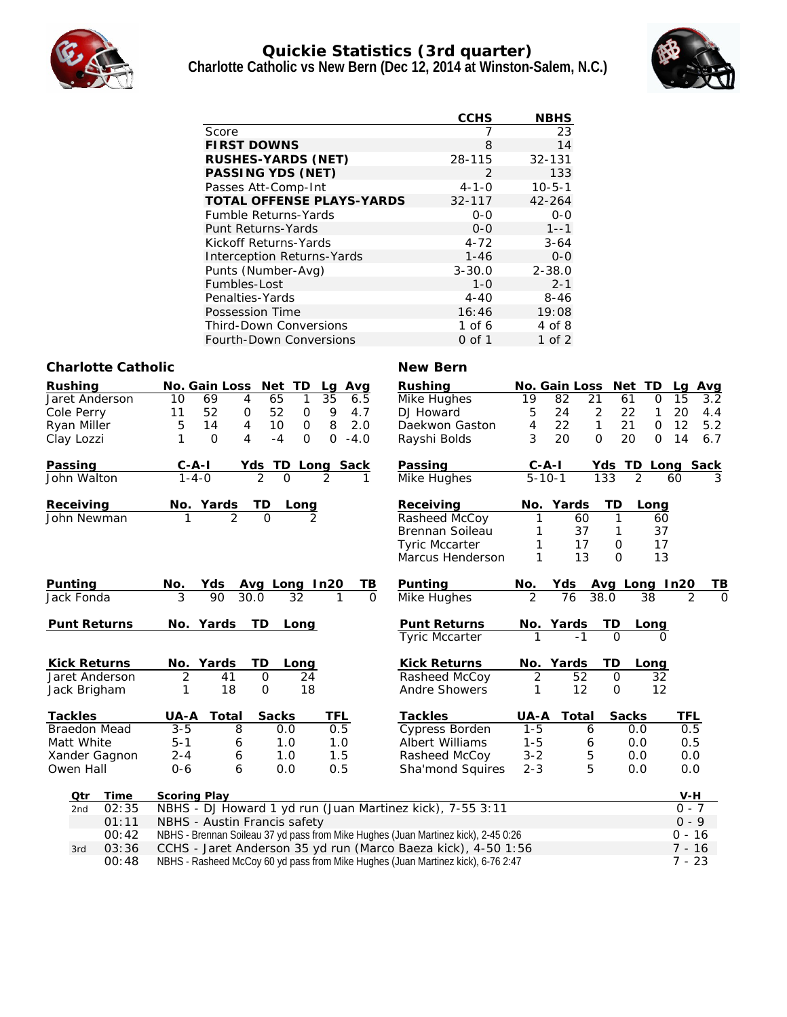

### **Quickie Statistics (3rd quarter) Charlotte Catholic vs New Bern (Dec 12, 2014 at Winston-Salem, N.C.)**



|                                  | CCHS        | <b>NBHS</b>  |
|----------------------------------|-------------|--------------|
| Score                            | 7           | 23           |
| <b>FIRST DOWNS</b>               | 8           | 14           |
| RUSHES-YARDS (NET)               | 28-115      | $32 - 131$   |
| PASSING YDS (NET)                | 2           | 133          |
| Passes Att-Comp-Int              | $4 - 1 - 0$ | $10 - 5 - 1$ |
| <b>TOTAL OFFENSE PLAYS-YARDS</b> | $32 - 117$  | $42 - 264$   |
| <b>Fumble Returns-Yards</b>      | $0 - 0$     | $O - O$      |
| Punt Returns-Yards               | $O - O$     | $1 - -1$     |
| Kickoff Returns-Yards            | $4 - 72$    | $3 - 64$     |
| Interception Returns-Yards       | $1 - 46$    | $0 - 0$      |
| Punts (Number-Avg)               | $3 - 30.0$  | $2 - 38.0$   |
| Fumbles-Lost                     | $1 - 0$     | $2 - 1$      |
| Penalties-Yards                  | $4 - 40$    | $8 - 46$     |
| Possession Time                  | 16:46       | 19:08        |
| Third-Down Conversions           | $1$ of 6    | 4 of 8       |
| <b>Fourth-Down Conversions</b>   | 0 of 1      | 1 of $2$     |

#### **Charlotte Catholic New Bern**

| Rushing                            | Net<br>TD<br>No. Gain Loss<br>Avg<br>Lg                                            | Rushing               | No. Gain Loss             | Net<br>TD             | <u>Avg</u><br>La    |
|------------------------------------|------------------------------------------------------------------------------------|-----------------------|---------------------------|-----------------------|---------------------|
| Jaret Anderson                     | 69<br>1<br>35<br>10<br>$\overline{4}$<br>65<br>6.5                                 | Mike Hughes           | 19<br>82<br>21            | 61<br>$\Omega$        | 3.2<br>15           |
| Cole Perry                         | 52<br>52<br>11<br>9<br>4.7<br>$\mathbf 0$<br>$\mathsf{O}$                          | DJ Howard             | $\overline{2}$<br>5<br>24 | 22<br>1               | 20<br>4.4           |
| Ryan Miller                        | 8<br>2.0<br>5<br>14<br>10<br>$\mathbf{O}$<br>4                                     | Daekwon Gaston        | $\mathbf{1}$<br>22<br>4   | 21<br>$\mathsf{O}$    | 5.2<br>12           |
| Clay Lozzi                         | $\Omega$<br>1<br>$\Omega$<br>4<br>$-4$<br>$\Omega$<br>$-4.0$                       | Rayshi Bolds          | 3<br>20<br>$\Omega$       | 20<br>$\Omega$        | 14<br>6.7           |
| Passing                            | $C-A-I$<br>Yds<br>TD<br>Long Sack                                                  | Passing               | $C-A-I$                   | Yds TD                | <b>Sack</b><br>Long |
| John Walton                        | $1 - 4 - 0$<br>$\overline{2}$<br>$\Omega$<br>2<br>1                                | <b>Mike Hughes</b>    | $\overline{5-10-1}$       | $\overline{2}$<br>133 | 3<br>60             |
| Receiving                          | No. Yards<br>TD.<br><u>Long</u>                                                    | Receiving             | Yards<br>No.              | TD<br>Long            |                     |
| John Newman                        | $\mathfrak{D}$<br>$\Omega$<br>$\mathcal{P}$                                        | Rasheed McCoy         | 1<br>60                   | $\mathbf{1}$<br>60    |                     |
|                                    |                                                                                    | Brennan Soileau       | 37                        | 37<br>1               |                     |
|                                    |                                                                                    | <b>Tyric Mccarter</b> | 17<br>1                   | 17<br>0               |                     |
|                                    |                                                                                    | Marcus Henderson      | 13<br>1                   | $\Omega$<br>13        |                     |
| Punting                            | Yds<br>Avg Long In20<br>TВ<br>N <u>o.</u>                                          | Punting               | Yds<br>No.                | Avg Long In20         | ΤB                  |
| Jack Fonda                         | $\overline{3}$<br>90<br>30.0<br>32<br>$\Omega$<br>1                                | Mike Hughes           | $\overline{2}$<br>76      | 38.0<br>38            | O<br>2              |
| Punt Returns                       | No. Yards<br>TD<br>Long                                                            | Punt Returns          | No. Yards                 | ТD<br>Long            |                     |
|                                    |                                                                                    | <b>Tyric Mccarter</b> |                           | $\Omega$              |                     |
| <b>Kick Returns</b>                | No. Yards<br>TD<br>Long                                                            | <b>Kick Returns</b>   | Yards<br>No.              | TD<br>Long            |                     |
| Jaret Anderson                     | 2<br>41<br>$\mathsf{O}$<br>24                                                      | Rasheed McCoy         | 52<br>$\overline{2}$      | $\mathbf{O}$<br>32    |                     |
| Jack Brigham                       | 18<br>$\Omega$<br>18<br>1                                                          | Andre Showers         | 12<br>1                   | 12<br>$\mathbf{O}$    |                     |
| Tackles                            | Sacks<br>Total<br>TFL<br>UA-A                                                      | Tackles               | Total<br>UA-A             | Sacks                 | TFL                 |
| <b>Braedon Mead</b>                | 8<br>0.5<br>$3 - 5$<br>0.0                                                         | Cypress Borden        | $1 - 5$<br>6              | 0.0                   | 0.5                 |
| Matt White                         | 1.0<br>$5 - 1$<br>1.0<br>6                                                         | Albert Williams       | $1 - 5$<br>6              | 0.0                   | 0.5                 |
| Xander Gagnon                      | $2 - 4$<br>1.5<br>1.0<br>6                                                         | Rasheed McCoy         | 5<br>$3 - 2$              | 0.0                   | 0.0                 |
| Owen Hall                          | $0 - 6$<br>6<br>0.0<br>0.5                                                         | Sha'mond Squires      | 5<br>$2 - 3$              | 0.0                   | 0.0                 |
|                                    | Scoring Play                                                                       |                       |                           |                       | $V-H$               |
| <b>Time</b><br>Otr<br>02:35<br>2nd | NBHS - DJ Howard 1 yd run (Juan Martinez kick), 7-55 3:11                          |                       |                           |                       | $0 - 7$             |
| 01:11                              | NBHS - Austin Francis safety                                                       |                       |                           |                       | $0 - 9$             |
| 00:42                              | NBHS - Brennan Soileau 37 yd pass from Mike Hughes (Juan Martinez kick), 2-45 0:26 |                       |                           |                       | $0 - 16$            |
|                                    |                                                                                    |                       |                           |                       |                     |

3rd 03:36 CCHS - Jaret Anderson 35 yd run (Marco Baeza kick), 4-50 1:56 7 - 16 00:48 NBHS - Rasheed McCoy 60 yd pass from Mike Hughes (Juan Martinez kick), 6-76 2:47 7 - 23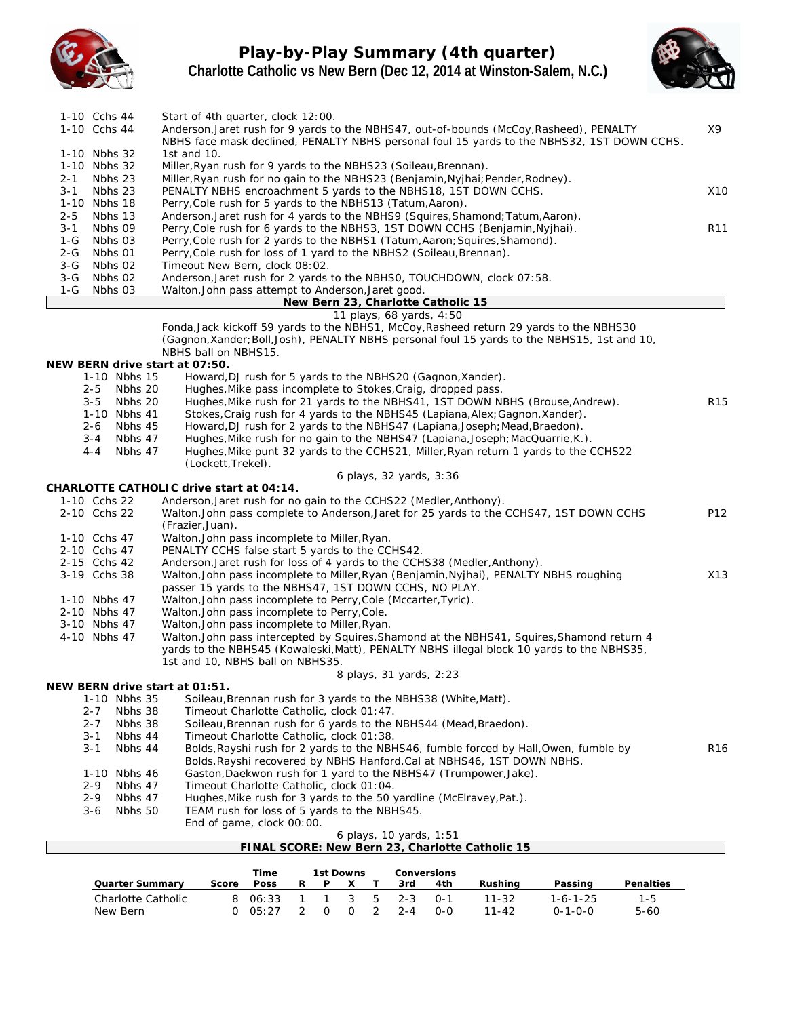

# **Play-by-Play Summary (4th quarter) Charlotte Catholic vs New Bern (Dec 12, 2014 at Winston-Salem, N.C.)**



|                  | 1-10 Cchs 44<br>1-10 Cchs 44             |                  |                      | Start of 4th quarter, clock 12:00.                                                                                          |                |              |             |                |             |                                                                |                                                                                                                                                     | Anderson, Jaret rush for 9 yards to the NBHS47, out-of-bounds (McCoy, Rasheed), PENALTY      |           | X9              |
|------------------|------------------------------------------|------------------|----------------------|-----------------------------------------------------------------------------------------------------------------------------|----------------|--------------|-------------|----------------|-------------|----------------------------------------------------------------|-----------------------------------------------------------------------------------------------------------------------------------------------------|----------------------------------------------------------------------------------------------|-----------|-----------------|
|                  |                                          |                  |                      |                                                                                                                             |                |              |             |                |             |                                                                |                                                                                                                                                     | NBHS face mask declined, PENALTY NBHS personal foul 15 yards to the NBHS32, 1ST DOWN CCHS.   |           |                 |
|                  | 1-10 Nbhs 32                             | 1st and $10$ .   |                      |                                                                                                                             |                |              |             |                |             |                                                                |                                                                                                                                                     |                                                                                              |           |                 |
| $2 - 1$          | 1-10 Nbhs 32<br>Nbhs 23                  |                  |                      | Miller, Ryan rush for 9 yards to the NBHS23 (Soileau, Brennan).                                                             |                |              |             |                |             |                                                                | Miller, Ryan rush for no gain to the NBHS23 (Benjamin, Nyjhai; Pender, Rodney).                                                                     |                                                                                              |           |                 |
| $3 - 1$          | Nbhs 23                                  |                  |                      |                                                                                                                             |                |              |             |                |             |                                                                | PENALTY NBHS encroachment 5 yards to the NBHS18, 1ST DOWN CCHS.                                                                                     |                                                                                              |           | X <sub>10</sub> |
|                  | 1-10 Nbhs 18                             |                  |                      | Perry, Cole rush for 5 yards to the NBHS13 (Tatum, Aaron).                                                                  |                |              |             |                |             |                                                                |                                                                                                                                                     |                                                                                              |           |                 |
| $2 - 5$          | Nbhs 13                                  |                  |                      |                                                                                                                             |                |              |             |                |             |                                                                | Anderson, Jaret rush for 4 yards to the NBHS9 (Squires, Shamond; Tatum, Aaron).                                                                     |                                                                                              |           |                 |
| $3 - 1$          | Nbhs 09                                  |                  |                      |                                                                                                                             |                |              |             |                |             |                                                                | Perry, Cole rush for 6 yards to the NBHS3, 1ST DOWN CCHS (Benjamin, Nyjhai).                                                                        |                                                                                              |           | R11             |
| $1-G$<br>$2 - G$ | Nbhs 03<br>Nbhs 01                       |                  |                      |                                                                                                                             |                |              |             |                |             |                                                                | Perry, Cole rush for 2 yards to the NBHS1 (Tatum, Aaron; Squires, Shamond).<br>Perry, Cole rush for loss of 1 yard to the NBHS2 (Soileau, Brennan). |                                                                                              |           |                 |
| $3-G$            | Nbhs 02                                  |                  |                      | Timeout New Bern, clock 08:02.                                                                                              |                |              |             |                |             |                                                                |                                                                                                                                                     |                                                                                              |           |                 |
| $3-G$            | Nbhs 02                                  |                  |                      |                                                                                                                             |                |              |             |                |             |                                                                | Anderson, Jaret rush for 2 yards to the NBHSO, TOUCHDOWN, clock 07:58.                                                                              |                                                                                              |           |                 |
| 1-G              | Nbhs 03                                  |                  |                      | Walton, John pass attempt to Anderson, Jaret good.                                                                          |                |              |             |                |             |                                                                |                                                                                                                                                     |                                                                                              |           |                 |
|                  |                                          |                  |                      |                                                                                                                             |                |              |             |                |             | New Bern 23, Charlotte Catholic 15<br>11 plays, 68 yards, 4:50 |                                                                                                                                                     |                                                                                              |           |                 |
|                  |                                          |                  |                      |                                                                                                                             |                |              |             |                |             |                                                                |                                                                                                                                                     | Fonda, Jack kickoff 59 yards to the NBHS1, McCoy, Rasheed return 29 yards to the NBHS30      |           |                 |
|                  |                                          |                  |                      |                                                                                                                             |                |              |             |                |             |                                                                |                                                                                                                                                     | (Gagnon, Xander; Boll, Josh), PENALTY NBHS personal foul 15 yards to the NBHS15, 1st and 10, |           |                 |
|                  |                                          |                  | NBHS ball on NBHS15. |                                                                                                                             |                |              |             |                |             |                                                                |                                                                                                                                                     |                                                                                              |           |                 |
|                  | NEW BERN drive start at 07:50.           |                  |                      |                                                                                                                             |                |              |             |                |             |                                                                |                                                                                                                                                     |                                                                                              |           |                 |
|                  | 1-10 Nbhs 15<br>$2 - 5$<br>Nbhs 20       |                  |                      | Howard, DJ rush for 5 yards to the NBHS20 (Gagnon, Xander).<br>Hughes, Mike pass incomplete to Stokes, Craig, dropped pass. |                |              |             |                |             |                                                                |                                                                                                                                                     |                                                                                              |           |                 |
|                  | $3 - 5$<br>Nbhs 20                       |                  |                      |                                                                                                                             |                |              |             |                |             |                                                                |                                                                                                                                                     | Hughes, Mike rush for 21 yards to the NBHS41, 1ST DOWN NBHS (Brouse, Andrew).                |           | R15             |
|                  | 1-10 Nbhs 41                             |                  |                      |                                                                                                                             |                |              |             |                |             |                                                                | Stokes, Craig rush for 4 yards to the NBHS45 (Lapiana, Alex; Gagnon, Xander).                                                                       |                                                                                              |           |                 |
|                  | $2 - 6$<br>Nbhs 45                       |                  |                      |                                                                                                                             |                |              |             |                |             |                                                                | Howard, DJ rush for 2 yards to the NBHS47 (Lapiana, Joseph; Mead, Braedon).                                                                         |                                                                                              |           |                 |
|                  | Nbhs 47<br>$3 - 4$                       |                  |                      |                                                                                                                             |                |              |             |                |             |                                                                | Hughes, Mike rush for no gain to the NBHS47 (Lapiana, Joseph; MacQuarrie, K.).                                                                      |                                                                                              |           |                 |
|                  | Nbhs 47<br>4-4                           |                  |                      |                                                                                                                             |                |              |             |                |             |                                                                |                                                                                                                                                     | Hughes, Mike punt 32 yards to the CCHS21, Miller, Ryan return 1 yards to the CCHS22          |           |                 |
|                  |                                          |                  | (Lockett, Trekel).   |                                                                                                                             |                |              |             |                |             | 6 plays, 32 yards, 3:36                                        |                                                                                                                                                     |                                                                                              |           |                 |
|                  | CHARLOTTE CATHOLIC drive start at 04:14. |                  |                      |                                                                                                                             |                |              |             |                |             |                                                                |                                                                                                                                                     |                                                                                              |           |                 |
|                  | 1-10 Cchs 22                             |                  |                      | Anderson, Jaret rush for no gain to the CCHS22 (Medler, Anthony).                                                           |                |              |             |                |             |                                                                |                                                                                                                                                     |                                                                                              |           |                 |
|                  | 2-10 Cchs 22                             |                  |                      |                                                                                                                             |                |              |             |                |             |                                                                |                                                                                                                                                     | Walton, John pass complete to Anderson, Jaret for 25 yards to the CCHS47, 1ST DOWN CCHS      |           | P12             |
|                  |                                          | (Frazier, Juan). |                      |                                                                                                                             |                |              |             |                |             |                                                                |                                                                                                                                                     |                                                                                              |           |                 |
|                  | 1-10 Cchs 47                             |                  |                      | Walton, John pass incomplete to Miller, Ryan.                                                                               |                |              |             |                |             |                                                                |                                                                                                                                                     |                                                                                              |           |                 |
|                  | 2-10 Cchs 47<br>2-15 Cchs 42             |                  |                      | PENALTY CCHS false start 5 yards to the CCHS42.                                                                             |                |              |             |                |             |                                                                | Anderson, Jaret rush for loss of 4 yards to the CCHS38 (Medler, Anthony).                                                                           |                                                                                              |           |                 |
|                  | 3-19 Cchs 38                             |                  |                      |                                                                                                                             |                |              |             |                |             |                                                                |                                                                                                                                                     | Walton, John pass incomplete to Miller, Ryan (Benjamin, Nyjhai), PENALTY NBHS roughing       |           | X13             |
|                  |                                          |                  |                      | passer 15 yards to the NBHS47, 1ST DOWN CCHS, NO PLAY.                                                                      |                |              |             |                |             |                                                                |                                                                                                                                                     |                                                                                              |           |                 |
|                  | 1-10 Nbhs 47                             |                  |                      | Walton, John pass incomplete to Perry, Cole (Mccarter, Tyric).                                                              |                |              |             |                |             |                                                                |                                                                                                                                                     |                                                                                              |           |                 |
|                  | 2-10 Nbhs 47                             |                  |                      | Walton, John pass incomplete to Perry, Cole.                                                                                |                |              |             |                |             |                                                                |                                                                                                                                                     |                                                                                              |           |                 |
|                  | 3-10 Nbhs 47<br>4-10 Nbhs 47             |                  |                      | Walton, John pass incomplete to Miller, Ryan.                                                                               |                |              |             |                |             |                                                                |                                                                                                                                                     | Walton, John pass intercepted by Squires, Shamond at the NBHS41, Squires, Shamond return 4   |           |                 |
|                  |                                          |                  |                      |                                                                                                                             |                |              |             |                |             |                                                                |                                                                                                                                                     | yards to the NBHS45 (Kowaleski, Matt), PENALTY NBHS illegal block 10 yards to the NBHS35,    |           |                 |
|                  |                                          |                  |                      | 1st and 10, NBHS ball on NBHS35.                                                                                            |                |              |             |                |             |                                                                |                                                                                                                                                     |                                                                                              |           |                 |
|                  |                                          |                  |                      |                                                                                                                             |                |              |             |                |             | 8 plays, 31 yards, 2:23                                        |                                                                                                                                                     |                                                                                              |           |                 |
|                  | NEW BERN drive start at 01:51.           |                  |                      |                                                                                                                             |                |              |             |                |             |                                                                |                                                                                                                                                     |                                                                                              |           |                 |
|                  | 1-10 Nbhs 35<br>$2 - 7$<br>Nbhs 38       |                  |                      | Timeout Charlotte Catholic, clock 01:47.                                                                                    |                |              |             |                |             |                                                                | Soileau, Brennan rush for 3 yards to the NBHS38 (White, Matt).                                                                                      |                                                                                              |           |                 |
|                  | $2 - 7$<br>Nbhs 38                       |                  |                      |                                                                                                                             |                |              |             |                |             |                                                                | Soileau, Brennan rush for 6 yards to the NBHS44 (Mead, Braedon).                                                                                    |                                                                                              |           |                 |
|                  | $3 - 1$<br>Nbhs 44                       |                  |                      | Timeout Charlotte Catholic, clock 01:38.                                                                                    |                |              |             |                |             |                                                                |                                                                                                                                                     |                                                                                              |           |                 |
|                  | $3 - 1$<br>Nbhs 44                       |                  |                      |                                                                                                                             |                |              |             |                |             |                                                                |                                                                                                                                                     | Bolds, Rayshi rush for 2 yards to the NBHS46, fumble forced by Hall, Owen, fumble by         |           | R <sub>16</sub> |
|                  |                                          |                  |                      |                                                                                                                             |                |              |             |                |             |                                                                | Bolds, Rayshi recovered by NBHS Hanford, Cal at NBHS46, 1ST DOWN NBHS.                                                                              |                                                                                              |           |                 |
|                  | 1-10 Nbhs 46                             |                  |                      |                                                                                                                             |                |              |             |                |             |                                                                | Gaston, Daekwon rush for 1 yard to the NBHS47 (Trumpower, Jake).                                                                                    |                                                                                              |           |                 |
|                  | $2 - 9$<br>Nbhs 47<br>$2 - 9$<br>Nbhs 47 |                  |                      | Timeout Charlotte Catholic, clock 01:04.                                                                                    |                |              |             |                |             |                                                                | Hughes, Mike rush for 3 yards to the 50 yardline (McElravey, Pat.).                                                                                 |                                                                                              |           |                 |
|                  | Nbhs 50<br>$3-6$                         |                  |                      | TEAM rush for loss of 5 yards to the NBHS45.                                                                                |                |              |             |                |             |                                                                |                                                                                                                                                     |                                                                                              |           |                 |
|                  |                                          |                  |                      | End of game, clock 00:00.                                                                                                   |                |              |             |                |             |                                                                |                                                                                                                                                     |                                                                                              |           |                 |
|                  |                                          |                  |                      |                                                                                                                             |                |              |             |                |             | 6 plays, 10 yards, 1:51                                        |                                                                                                                                                     |                                                                                              |           |                 |
|                  |                                          |                  |                      |                                                                                                                             |                |              |             |                |             |                                                                | FINAL SCORE: New Bern 23, Charlotte Catholic 15                                                                                                     |                                                                                              |           |                 |
|                  |                                          |                  |                      | Time                                                                                                                        |                |              | 1st Downs   |                | Conversions |                                                                |                                                                                                                                                     |                                                                                              |           |                 |
|                  | <b>Quarter Summary</b>                   |                  | Score                | Poss                                                                                                                        | R              | Ρ            | X           | Τ              | 3rd         | 4th                                                            | Rushing                                                                                                                                             | Passing                                                                                      | Penalties |                 |
|                  | Charlotte Catholic                       |                  |                      | 8 06:33                                                                                                                     | $\mathbf{1}$   | $\mathbf{1}$ | 3           | 5              | $2 - 3$     | $0 - 1$                                                        | $11 - 32$                                                                                                                                           | $1 - 6 - 1 - 25$                                                                             | $1 - 5$   |                 |
|                  | New Bern                                 |                  |                      | $0$ $05:27$                                                                                                                 | $\overline{2}$ | $\mathsf O$  | $\mathsf O$ | $\overline{2}$ | $2 - 4$     | $0-0$                                                          | $11 - 42$                                                                                                                                           | $0 - 1 - 0 - 0$                                                                              | $5 - 60$  |                 |